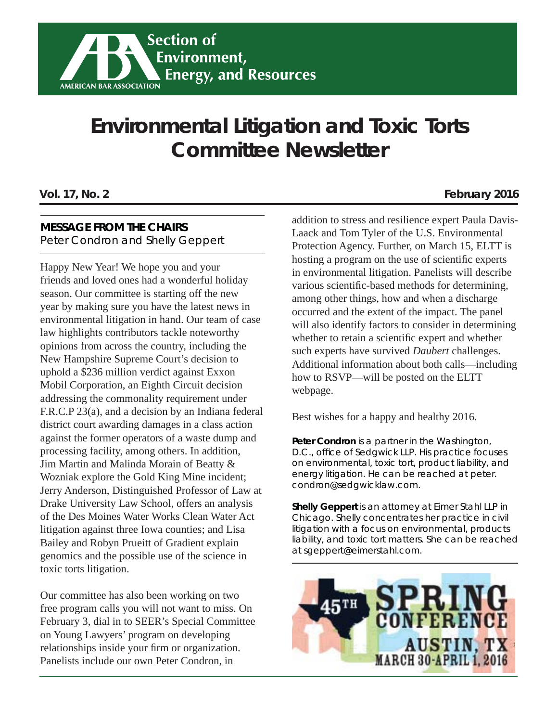## **Environmental Litigation and Toxic Torts Committee Newsletter**

#### **MESSAGE FROM THE CHAIRS**

Peter Condron and Shelly Geppert

Happy New Year! We hope you and your friends and loved ones had a wonderful holiday season. Our committee is starting off the new year by making sure you have the latest news in environmental litigation in hand. Our team of case law highlights contributors tackle noteworthy opinions from across the country, including the New Hampshire Supreme Court's decision to uphold a \$236 million verdict against Exxon Mobil Corporation, an Eighth Circuit decision addressing the commonality requirement under F.R.C.P 23(a), and a decision by an Indiana federal district court awarding damages in a class action against the former operators of a waste dump and processing facility, among others. In addition, Jim Martin and Malinda Morain of Beatty & Wozniak explore the Gold King Mine incident; Jerry Anderson, Distinguished Professor of Law at Drake University Law School, offers an analysis of the Des Moines Water Works Clean Water Act litigation against three Iowa counties; and Lisa Bailey and Robyn Prueitt of Gradient explain genomics and the possible use of the science in toxic torts litigation.

Our committee has also been working on two free program calls you will not want to miss. On February 3, dial in to SEER's Special Committee on Young Lawyers' program on developing relationships inside your firm or organization. Panelists include our own Peter Condron, in

#### **Vol. 17, No. 2 February 2016**

addition to stress and resilience expert Paula Davis-Laack and Tom Tyler of the U.S. Environmental Protection Agency. Further, on March 15, ELTT is hosting a program on the use of scientific experts in environmental litigation. Panelists will describe various scientific-based methods for determining, among other things, how and when a discharge occurred and the extent of the impact. The panel will also identify factors to consider in determining whether to retain a scientific expert and whether such experts have survived *Daubert* challenges. Additional information about both calls—including how to RSVP—will be posted on the ELTT webpage.

Best wishes for a happy and healthy 2016.

**Peter Condron** *is a partner in the Washington, D.C., offi ce of Sedgwick LLP. His practice focuses on environmental, toxic tort, product liability, and energy litigation. He can be reached at peter. condron@sedgwicklaw.com.* 

**Shelly Geppert** *is an attorney at Eimer Stahl LLP in Chicago. Shelly concentrates her practice in civil litigation with a focus on environmental, products liability, and toxic tort matters. She can be reached at sgeppert@eimerstahl.com.*

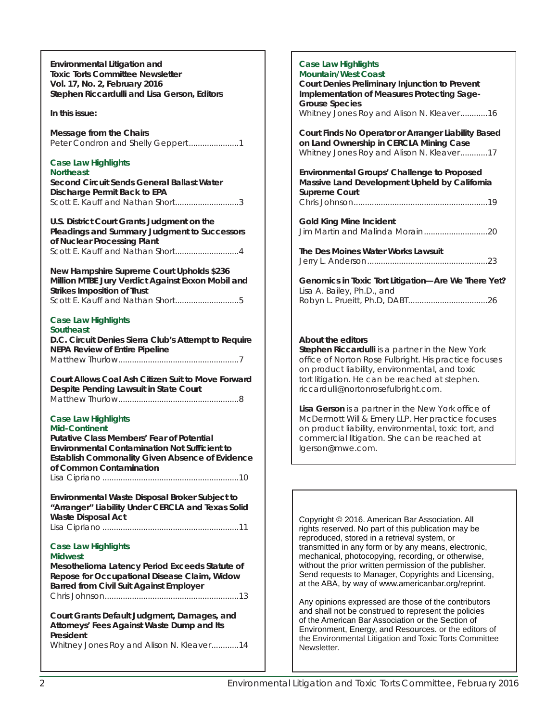**Environmental Litigation and Toxic Torts Committee Newsletter Vol. 17, No. 2, February 2016 Stephen Riccardulli and Lisa Gerson, Editors** *In this issue:* **Message from the Chairs** Peter Condron and Shelly Geppert.......................1 **Case Law Highlights Northeast Second Circuit Sends General Ballast Water Discharge Permit Back to EPA** Scott E. Kauff and Nathan Short............................3 **U.S. District Court Grants Judgment on the Pleadings and Summary Judgment to Successors of Nuclear Processing Plant** Scott E. Kauff and Nathan Short.............................4 **New Hampshire Supreme Court Upholds \$236 Million MTBE Jury Verdict Against Exxon Mobil and Strikes Imposition of Trust** Scott E. Kauff and Nathan Short............................5 **Case Law Highlights Southeast D.C. Circuit Denies Sierra Club's Attempt to Require NEPA Review of Entire Pipeline** Matthew Thurlow .....................................................7 **Court Allows Coal Ash Citizen Suit to Move Forward Despite Pending Lawsuit in State Court** Matthew Thurlow .....................................................8 **Case Law Highlights Mid-Continent Putative Class Members' Fear of Potential Environmental Contamination Not Sufficient to Establish Commonality Given Absence of Evidence of Common Contamination** Lisa Cipriano ............................................................10 **Environmental Waste Disposal Broker Subject to "Arranger" Liability Under CERCLA and Texas Solid Waste Disposal Act** Lisa Cipriano ............................................................11 **Case Law Highlights Midwest Mesothelioma Latency Period Exceeds Statute of Repose for Occupational Disease Claim, Widow Barred from Civil Suit Against Employer** Chris Johnson ...........................................................13 **Court Grants Default Judgment, Damages, and Attorneys' Fees Against Waste Dump and Its President** Whitney Jones Roy and Alison N. Kleaver ............14 **Case Law Highlights** Newsletter.

| Case Law Highlights<br><b>Mountain/West Coast</b><br>Court Denies Preliminary Injunction to Prevent<br>Implementation of Measures Protecting Sage-<br><b>Grouse Species</b><br>Whitney Jones Roy and Alison N. Kleaver16                                                   |
|----------------------------------------------------------------------------------------------------------------------------------------------------------------------------------------------------------------------------------------------------------------------------|
| Court Finds No Operator or Arranger Liability Based<br>on Land Ownership in CERCLA Mining Case<br>Whitney Jones Roy and Alison N. Kleaver17                                                                                                                                |
| Environmental Groups' Challenge to Proposed<br>Massive Land Development Upheld by California<br><b>Supreme Court</b>                                                                                                                                                       |
| <b>Gold King Mine Incident</b>                                                                                                                                                                                                                                             |
| The Des Moines Water Works Lawsuit                                                                                                                                                                                                                                         |
| Genomics in Toxic Tort Litigation-Are We There Yet?<br>Lisa A. Bailey, Ph.D., and                                                                                                                                                                                          |
| About the editors<br>Stephen Riccardulli is a partner in the New York<br>office of Norton Rose Fulbright. His practice focuses<br>on product liability, environmental, and toxic<br>tort litigation. He can be reached at stephen.<br>riccardulli@nortonrosefulbright.com. |
|                                                                                                                                                                                                                                                                            |

Lisa Gerson is a partner in the New York office of *McDermott Will & Emery LLP. Her practice focuses on product liability, environmental, toxic tort, and commercial litigation. She can be reached at lgerson@mwe.com.* 

Copyright © 2016. American Bar Association. All rights reserved. No part of this publication may be reproduced, stored in a retrieval system, or transmitted in any form or by any means, electronic, mechanical, photocopying, recording, or otherwise, without the prior written permission of the publisher. Send requests to Manager, Copyrights and Licensing, at the ABA, by way of www.americanbar.org/reprint.

Any opinions expressed are those of the contributors and shall not be construed to represent the policies of the American Bar Association or the Section of Environment, Energy, and Resources. or the editors of the Environmental Litigation and Toxic Torts Committee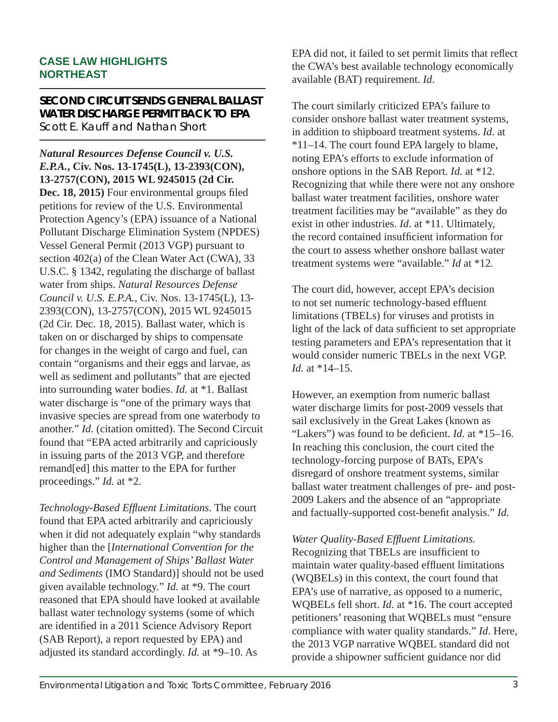#### **CASE LAW HIGHLIGHTS NORTHEAST**

#### **SECOND CIRCUIT SENDS GENERAL BALLAST WATER DISCHARGE PERMIT BACK TO EPA** Scott E. Kauff and Nathan Short

*Natural Resources Defense Council v. U.S. E.P.A.***, Civ. Nos. 13-1745(L), 13-2393(CON), 13-2757(CON), 2015 WL 9245015 (2d Cir.**  Dec. 18, 2015) Four environmental groups filed petitions for review of the U.S. Environmental Protection Agency's (EPA) issuance of a National Pollutant Discharge Elimination System (NPDES) Vessel General Permit (2013 VGP) pursuant to section 402(a) of the Clean Water Act (CWA), 33 U.S.C. § 1342, regulating the discharge of ballast water from ships. *Natural Resources Defense Council v. U.S. E.P.A.*, Civ. Nos. 13-1745(L), 13- 2393(CON), 13-2757(CON), 2015 WL 9245015 (2d Cir. Dec. 18, 2015). Ballast water, which is taken on or discharged by ships to compensate for changes in the weight of cargo and fuel, can contain "organisms and their eggs and larvae, as well as sediment and pollutants" that are ejected into surrounding water bodies. *Id.* at \*1. Ballast water discharge is "one of the primary ways that invasive species are spread from one waterbody to another." *Id.* (citation omitted). The Second Circuit found that "EPA acted arbitrarily and capriciously in issuing parts of the 2013 VGP, and therefore remand[ed] this matter to the EPA for further proceedings." *Id.* at \*2.

*Technology-Based Effl uent Limitations.* The court found that EPA acted arbitrarily and capriciously when it did not adequately explain "why standards higher than the [*International Convention for the Control and Management of Ships' Ballast Water and Sediments* (IMO Standard)] should not be used given available technology." *Id.* at \*9. The court reasoned that EPA should have looked at available ballast water technology systems (some of which are identified in a 2011 Science Advisory Report (SAB Report), a report requested by EPA) and adjusted its standard accordingly. *Id.* at \*9–10. As

EPA did not, it failed to set permit limits that reflect the CWA's best available technology economically available (BAT) requirement. *Id*.

The court similarly criticized EPA's failure to consider onshore ballast water treatment systems, in addition to shipboard treatment systems. *Id.* at \*11–14. The court found EPA largely to blame, noting EPA's efforts to exclude information of onshore options in the SAB Report. *Id.* at \*12. Recognizing that while there were not any onshore ballast water treatment facilities, onshore water treatment facilities may be "available" as they do exist in other industries. *Id*. at \*11. Ultimately, the record contained insufficient information for the court to assess whether onshore ballast water treatment systems were "available." *Id* at \*12*.* 

The court did, however, accept EPA's decision to not set numeric technology-based effluent limitations (TBELs) for viruses and protists in light of the lack of data sufficient to set appropriate testing parameters and EPA's representation that it would consider numeric TBELs in the next VGP. *Id.* at \*14–15.

However, an exemption from numeric ballast water discharge limits for post-2009 vessels that sail exclusively in the Great Lakes (known as "Lakers") was found to be deficient. *Id.* at \*15–16. In reaching this conclusion, the court cited the technology-forcing purpose of BATs, EPA's disregard of onshore treatment systems, similar ballast water treatment challenges of pre- and post-2009 Lakers and the absence of an "appropriate and factually-supported cost-benefit analysis." *Id.* 

*Water Quality-Based Effluent Limitations.* Recognizing that TBELs are insufficient to maintain water quality-based effluent limitations (WQBELs) in this context, the court found that EPA's use of narrative, as opposed to a numeric, WQBELs fell short. *Id.* at \*16. The court accepted petitioners' reasoning that WQBELs must "ensure compliance with water quality standards." *Id*. Here, the 2013 VGP narrative WQBEL standard did not provide a shipowner sufficient guidance nor did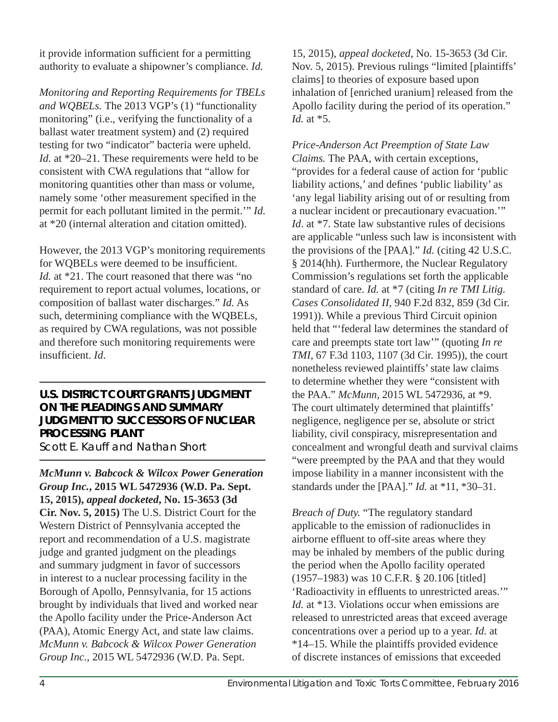it provide information sufficient for a permitting authority to evaluate a shipowner's compliance. *Id.* 

*Monitoring and Reporting Requirements for TBELs and WQBELs.* The 2013 VGP's (1) "functionality monitoring" (i.e., verifying the functionality of a ballast water treatment system) and (2) required testing for two "indicator" bacteria were upheld. *Id.* at \*20–21. These requirements were held to be consistent with CWA regulations that "allow for monitoring quantities other than mass or volume, namely some 'other measurement specified in the permit for each pollutant limited in the permit.'" *Id.* at \*20 (internal alteration and citation omitted).

However, the 2013 VGP's monitoring requirements for WOBELs were deemed to be insufficient. *Id.* at \*21. The court reasoned that there was "no requirement to report actual volumes, locations, or composition of ballast water discharges." *Id.* As such, determining compliance with the WQBELs, as required by CWA regulations, was not possible and therefore such monitoring requirements were insufficient. *Id.* 

#### **U.S. DISTRICT COURT GRANTS JUDGMENT ON THE PLEADINGS AND SUMMARY JUDGMENT TO SUCCESSORS OF NUCLEAR PROCESSING PLANT**

Scott E. Kauff and Nathan Short

*McMunn v. Babcock & Wilcox Power Generation Group Inc.***, 2015 WL 5472936 (W.D. Pa. Sept. 15, 2015),** *appeal docketed***, No. 15-3653 (3d Cir. Nov. 5, 2015)** The U.S. District Court for the Western District of Pennsylvania accepted the report and recommendation of a U.S. magistrate judge and granted judgment on the pleadings and summary judgment in favor of successors in interest to a nuclear processing facility in the Borough of Apollo, Pennsylvania, for 15 actions brought by individuals that lived and worked near the Apollo facility under the Price-Anderson Act (PAA), Atomic Energy Act, and state law claims. *McMunn v. Babcock & Wilcox Power Generation Group Inc.*, 2015 WL 5472936 (W.D. Pa. Sept.

15, 2015), *appeal docketed*, No. 15-3653 (3d Cir. Nov. 5, 2015). Previous rulings "limited [plaintiffs' claims] to theories of exposure based upon inhalation of [enriched uranium] released from the Apollo facility during the period of its operation." *Id.* at \*5.

*Price-Anderson Act Preemption of State Law Claims.* The PAA, with certain exceptions, "provides for a federal cause of action for 'public liability actions,' and defines 'public liability' as 'any legal liability arising out of or resulting from a nuclear incident or precautionary evacuation.'" *Id.* at \*7. State law substantive rules of decisions are applicable "unless such law is inconsistent with the provisions of the [PAA]." *Id.* (citing 42 U.S.C. § 2014(hh). Furthermore, the Nuclear Regulatory Commission's regulations set forth the applicable standard of care. *Id.* at \*7 (citing *In re TMI Litig. Cases Consolidated II*, 940 F.2d 832, 859 (3d Cir. 1991)). While a previous Third Circuit opinion held that "'federal law determines the standard of care and preempts state tort law'" (quoting *In re TMI*, 67 F.3d 1103, 1107 (3d Cir. 1995)), the court nonetheless reviewed plaintiffs' state law claims to determine whether they were "consistent with the PAA." *McMunn*, 2015 WL 5472936, at \*9. The court ultimately determined that plaintiffs' negligence, negligence per se, absolute or strict liability, civil conspiracy, misrepresentation and concealment and wrongful death and survival claims "were preempted by the PAA and that they would impose liability in a manner inconsistent with the standards under the [PAA]." *Id.* at \*11, \*30–31.

*Breach of Duty.* "The regulatory standard applicable to the emission of radionuclides in airborne effluent to off-site areas where they may be inhaled by members of the public during the period when the Apollo facility operated (1957–1983) was 10 C.F.R. § 20.106 [titled] 'Radioactivity in effluents to unrestricted areas.'" *Id.* at \*13. Violations occur when emissions are released to unrestricted areas that exceed average concentrations over a period up to a year. *Id.* at \*14–15. While the plaintiffs provided evidence of discrete instances of emissions that exceeded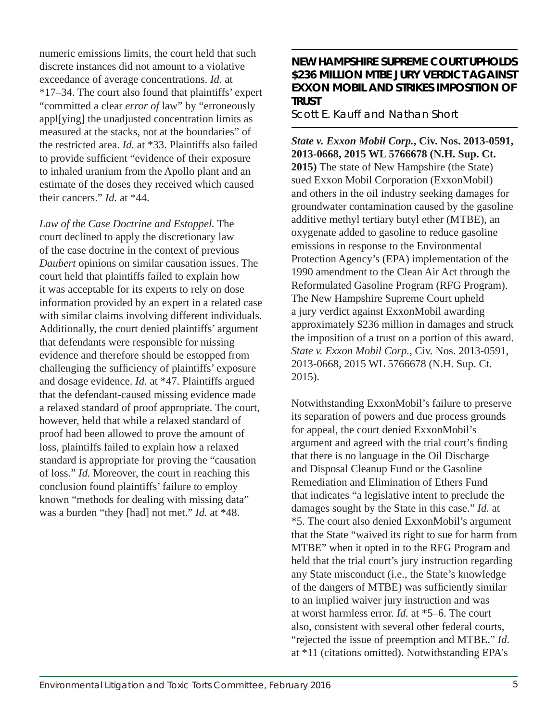numeric emissions limits, the court held that such discrete instances did not amount to a violative exceedance of average concentrations. *Id.* at \*17–34. The court also found that plaintiffs' expert "committed a clear *error of* law" by "erroneously appl[ying] the unadjusted concentration limits as measured at the stacks, not at the boundaries" of the restricted area. *Id.* at \*33. Plaintiffs also failed to provide sufficient "evidence of their exposure to inhaled uranium from the Apollo plant and an estimate of the doses they received which caused their cancers." *Id.* at \*44.

*Law of the Case Doctrine and Estoppel.* The court declined to apply the discretionary law of the case doctrine in the context of previous *Daubert* opinions on similar causation issues. The court held that plaintiffs failed to explain how it was acceptable for its experts to rely on dose information provided by an expert in a related case with similar claims involving different individuals. Additionally, the court denied plaintiffs' argument that defendants were responsible for missing evidence and therefore should be estopped from challenging the sufficiency of plaintiffs' exposure and dosage evidence. *Id.* at \*47. Plaintiffs argued that the defendant-caused missing evidence made a relaxed standard of proof appropriate. The court, however, held that while a relaxed standard of proof had been allowed to prove the amount of loss, plaintiffs failed to explain how a relaxed standard is appropriate for proving the "causation of loss." *Id.* Moreover, the court in reaching this conclusion found plaintiffs' failure to employ known "methods for dealing with missing data" was a burden "they [had] not met." *Id.* at \*48.

#### **NEW HAMPSHIRE SUPREME COURT UPHOLDS \$236 MILLION MTBE JURY VERDICT AGAINST EXXON MOBIL AND STRIKES IMPOSITION OF TRUST**

Scott E. Kauff and Nathan Short

*State v. Exxon Mobil Corp.***, Civ. Nos. 2013-0591, 2013-0668, 2015 WL 5766678 (N.H. Sup. Ct. 2015)** The state of New Hampshire (the State) sued Exxon Mobil Corporation (ExxonMobil) and others in the oil industry seeking damages for groundwater contamination caused by the gasoline additive methyl tertiary butyl ether (MTBE), an oxygenate added to gasoline to reduce gasoline emissions in response to the Environmental Protection Agency's (EPA) implementation of the 1990 amendment to the Clean Air Act through the Reformulated Gasoline Program (RFG Program). The New Hampshire Supreme Court upheld a jury verdict against ExxonMobil awarding approximately \$236 million in damages and struck the imposition of a trust on a portion of this award. *State v. Exxon Mobil Corp.*, Civ. Nos. 2013-0591, 2013-0668, 2015 WL 5766678 (N.H. Sup. Ct. 2015).

Notwithstanding ExxonMobil's failure to preserve its separation of powers and due process grounds for appeal, the court denied ExxonMobil's argument and agreed with the trial court's finding that there is no language in the Oil Discharge and Disposal Cleanup Fund or the Gasoline Remediation and Elimination of Ethers Fund that indicates "a legislative intent to preclude the damages sought by the State in this case." *Id.* at \*5. The court also denied ExxonMobil's argument that the State "waived its right to sue for harm from MTBE" when it opted in to the RFG Program and held that the trial court's jury instruction regarding any State misconduct (i.e., the State's knowledge of the dangers of MTBE) was sufficiently similar to an implied waiver jury instruction and was at worst harmless error. *Id.* at \*5–6. The court also, consistent with several other federal courts, "rejected the issue of preemption and MTBE." *Id*. at \*11 (citations omitted). Notwithstanding EPA's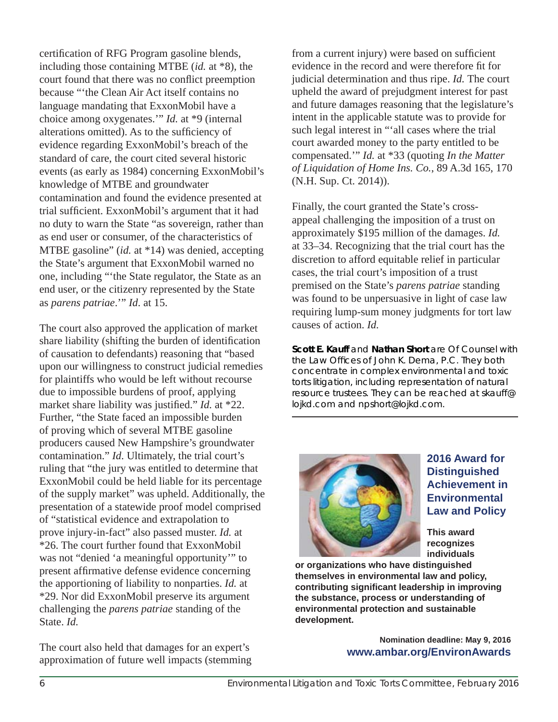certification of RFG Program gasoline blends, including those containing MTBE (*id.* at \*8), the court found that there was no conflict preemption because "'the Clean Air Act itself contains no language mandating that ExxonMobil have a choice among oxygenates.'" *Id.* at \*9 (internal alterations omitted). As to the sufficiency of evidence regarding ExxonMobil's breach of the standard of care, the court cited several historic events (as early as 1984) concerning ExxonMobil's knowledge of MTBE and groundwater contamination and found the evidence presented at trial sufficient. ExxonMobil's argument that it had no duty to warn the State "as sovereign, rather than as end user or consumer, of the characteristics of MTBE gasoline" (*id.* at \*14) was denied, accepting the State's argument that ExxonMobil warned no one, including "'the State regulator, the State as an end user, or the citizenry represented by the State as *parens patriae*.'" *Id*. at 15.

The court also approved the application of market share liability (shifting the burden of identification of causation to defendants) reasoning that "based upon our willingness to construct judicial remedies for plaintiffs who would be left without recourse due to impossible burdens of proof, applying market share liability was justified." *Id.* at \*22. Further, "the State faced an impossible burden of proving which of several MTBE gasoline producers caused New Hampshire's groundwater contamination." *Id*. Ultimately, the trial court's ruling that "the jury was entitled to determine that ExxonMobil could be held liable for its percentage of the supply market" was upheld. Additionally, the presentation of a statewide proof model comprised of "statistical evidence and extrapolation to prove injury-in-fact" also passed muster. *Id.* at \*26. The court further found that ExxonMobil was not "denied 'a meaningful opportunity'" to present affirmative defense evidence concerning the apportioning of liability to nonparties. *Id.* at \*29. Nor did ExxonMobil preserve its argument challenging the *parens patriae* standing of the State. *Id.*

The court also held that damages for an expert's approximation of future well impacts (stemming from a current injury) were based on sufficient evidence in the record and were therefore fit for judicial determination and thus ripe. *Id.* The court upheld the award of prejudgment interest for past and future damages reasoning that the legislature's intent in the applicable statute was to provide for such legal interest in "'all cases where the trial court awarded money to the party entitled to be compensated.'" *Id.* at \*33 (quoting *In the Matter of Liquidation of Home Ins. Co.*, 89 A.3d 165, 170 (N.H. Sup. Ct. 2014)).

Finally, the court granted the State's crossappeal challenging the imposition of a trust on approximately \$195 million of the damages. *Id.* at 33–34. Recognizing that the trial court has the discretion to afford equitable relief in particular cases, the trial court's imposition of a trust premised on the State's *parens patriae* standing was found to be unpersuasive in light of case law requiring lump-sum money judgments for tort law causes of action. *Id.* 

**Scott E. Kauff** *and* **Nathan Short** *are Of Counsel with the Law Offi ces of John K. Dema, P.C. They both concentrate in complex environmental and toxic torts litigation, including representation of natural resource trustees. They can be reached at skauff@ lojkd.com and npshort@lojkd.com.* 



**2016 Award for Distinguished Achievement in Environmental Law and Policy** 

**This award recognizes individuals** 

**or organizations who have distinguished themselves in environmental law and policy, contributing signifi cant leadership in improving the substance, process or understanding of environmental protection and sustainable development.**

> **Nomination deadline: May 9, 2016 www.ambar.org/EnvironAwards**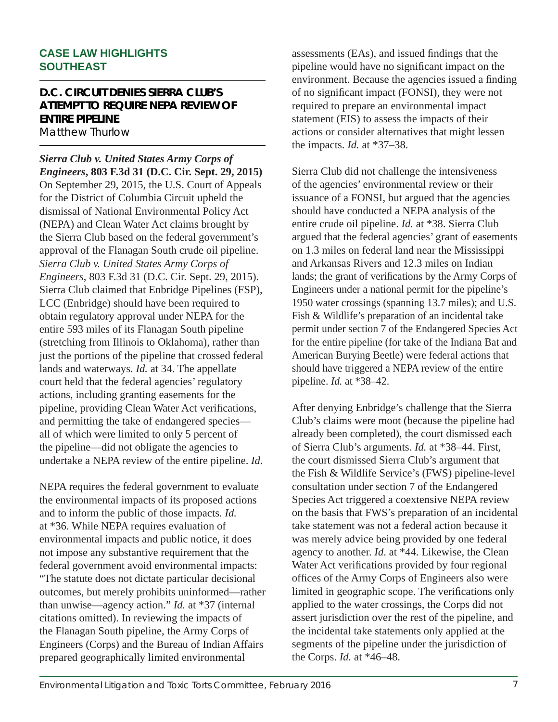#### **CASE LAW HIGHLIGHTS SOUTHEAST**

#### **D.C. CIRCUIT DENIES SIERRA CLUB'S ATTEMPT TO REQUIRE NEPA REVIEW OF ENTIRE PIPELINE**

Matthew Thurlow

*Sierra Club v. United States Army Corps of Engineers***, 803 F.3d 31 (D.C. Cir. Sept. 29, 2015)**  On September 29, 2015, the U.S. Court of Appeals for the District of Columbia Circuit upheld the dismissal of National Environmental Policy Act (NEPA) and Clean Water Act claims brought by the Sierra Club based on the federal government's approval of the Flanagan South crude oil pipeline. *Sierra Club v. United States Army Corps of Engineers*, 803 F.3d 31 (D.C. Cir. Sept. 29, 2015). Sierra Club claimed that Enbridge Pipelines (FSP), LCC (Enbridge) should have been required to obtain regulatory approval under NEPA for the entire 593 miles of its Flanagan South pipeline (stretching from Illinois to Oklahoma), rather than just the portions of the pipeline that crossed federal lands and waterways. *Id.* at 34. The appellate court held that the federal agencies' regulatory actions, including granting easements for the pipeline, providing Clean Water Act verifications, and permitting the take of endangered species all of which were limited to only 5 percent of the pipeline—did not obligate the agencies to undertake a NEPA review of the entire pipeline. *Id.*

NEPA requires the federal government to evaluate the environmental impacts of its proposed actions and to inform the public of those impacts. *Id.*  at \*36. While NEPA requires evaluation of environmental impacts and public notice, it does not impose any substantive requirement that the federal government avoid environmental impacts: "The statute does not dictate particular decisional outcomes, but merely prohibits uninformed—rather than unwise—agency action." *Id.* at \*37 (internal citations omitted). In reviewing the impacts of the Flanagan South pipeline, the Army Corps of Engineers (Corps) and the Bureau of Indian Affairs prepared geographically limited environmental

assessments (EAs), and issued findings that the pipeline would have no significant impact on the environment. Because the agencies issued a finding of no significant impact (FONSI), they were not required to prepare an environmental impact statement (EIS) to assess the impacts of their actions or consider alternatives that might lessen the impacts. *Id.* at \*37–38.

Sierra Club did not challenge the intensiveness of the agencies' environmental review or their issuance of a FONSI, but argued that the agencies should have conducted a NEPA analysis of the entire crude oil pipeline. *Id.* at \*38. Sierra Club argued that the federal agencies' grant of easements on 1.3 miles on federal land near the Mississippi and Arkansas Rivers and 12.3 miles on Indian lands; the grant of verifications by the Army Corps of Engineers under a national permit for the pipeline's 1950 water crossings (spanning 13.7 miles); and U.S. Fish & Wildlife's preparation of an incidental take permit under section 7 of the Endangered Species Act for the entire pipeline (for take of the Indiana Bat and American Burying Beetle) were federal actions that should have triggered a NEPA review of the entire pipeline. *Id.* at \*38–42.

After denying Enbridge's challenge that the Sierra Club's claims were moot (because the pipeline had already been completed), the court dismissed each of Sierra Club's arguments. *Id.* at \*38–44. First, the court dismissed Sierra Club's argument that the Fish & Wildlife Service's (FWS) pipeline-level consultation under section 7 of the Endangered Species Act triggered a coextensive NEPA review on the basis that FWS's preparation of an incidental take statement was not a federal action because it was merely advice being provided by one federal agency to another. *Id*. at \*44. Likewise, the Clean Water Act verifications provided by four regional offices of the Army Corps of Engineers also were limited in geographic scope. The verifications only applied to the water crossings, the Corps did not assert jurisdiction over the rest of the pipeline, and the incidental take statements only applied at the segments of the pipeline under the jurisdiction of the Corps. *Id.* at \*46–48.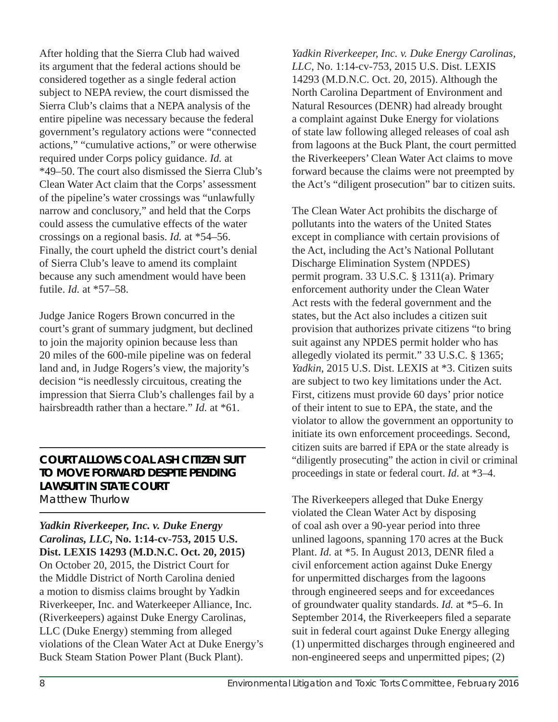After holding that the Sierra Club had waived its argument that the federal actions should be considered together as a single federal action subject to NEPA review, the court dismissed the Sierra Club's claims that a NEPA analysis of the entire pipeline was necessary because the federal government's regulatory actions were "connected actions," "cumulative actions," or were otherwise required under Corps policy guidance. *Id.* at \*49–50. The court also dismissed the Sierra Club's Clean Water Act claim that the Corps' assessment of the pipeline's water crossings was "unlawfully narrow and conclusory," and held that the Corps could assess the cumulative effects of the water crossings on a regional basis. *Id.* at \*54–56. Finally, the court upheld the district court's denial of Sierra Club's leave to amend its complaint because any such amendment would have been futile. *Id.* at \*57–58.

Judge Janice Rogers Brown concurred in the court's grant of summary judgment, but declined to join the majority opinion because less than 20 miles of the 600-mile pipeline was on federal land and, in Judge Rogers's view, the majority's decision "is needlessly circuitous, creating the impression that Sierra Club's challenges fail by a hairsbreadth rather than a hectare." *Id.* at \*61.

#### **COURT ALLOWS COAL ASH CITIZEN SUIT TO MOVE FORWARD DESPITE PENDING LAWSUIT IN STATE COURT** Matthew Thurlow

*Yadkin Riverkeeper, Inc. v. Duke Energy Carolinas, LLC***, No. 1:14-cv-753, 2015 U.S. Dist. LEXIS 14293 (M.D.N.C. Oct. 20, 2015)**  On October 20, 2015, the District Court for the Middle District of North Carolina denied a motion to dismiss claims brought by Yadkin Riverkeeper, Inc. and Waterkeeper Alliance, Inc. (Riverkeepers) against Duke Energy Carolinas, LLC (Duke Energy) stemming from alleged violations of the Clean Water Act at Duke Energy's Buck Steam Station Power Plant (Buck Plant).

*Yadkin Riverkeeper, Inc. v. Duke Energy Carolinas, LLC*, No. 1:14-cv-753, 2015 U.S. Dist. LEXIS 14293 (M.D.N.C. Oct. 20, 2015). Although the North Carolina Department of Environment and Natural Resources (DENR) had already brought a complaint against Duke Energy for violations of state law following alleged releases of coal ash from lagoons at the Buck Plant, the court permitted the Riverkeepers' Clean Water Act claims to move forward because the claims were not preempted by the Act's "diligent prosecution" bar to citizen suits.

The Clean Water Act prohibits the discharge of pollutants into the waters of the United States except in compliance with certain provisions of the Act, including the Act's National Pollutant Discharge Elimination System (NPDES) permit program. 33 U.S.C. § 1311(a). Primary enforcement authority under the Clean Water Act rests with the federal government and the states, but the Act also includes a citizen suit provision that authorizes private citizens "to bring suit against any NPDES permit holder who has allegedly violated its permit." 33 U.S.C. § 1365; *Yadkin*, 2015 U.S. Dist. LEXIS at \*3. Citizen suits are subject to two key limitations under the Act. First, citizens must provide 60 days' prior notice of their intent to sue to EPA, the state, and the violator to allow the government an opportunity to initiate its own enforcement proceedings. Second, citizen suits are barred if EPA or the state already is "diligently prosecuting" the action in civil or criminal proceedings in state or federal court. *Id*. at \*3–4.

The Riverkeepers alleged that Duke Energy violated the Clean Water Act by disposing of coal ash over a 90-year period into three unlined lagoons, spanning 170 acres at the Buck Plant. *Id.* at \*5. In August 2013, DENR filed a civil enforcement action against Duke Energy for unpermitted discharges from the lagoons through engineered seeps and for exceedances of groundwater quality standards. *Id.* at \*5–6. In September 2014, the Riverkeepers filed a separate suit in federal court against Duke Energy alleging (1) unpermitted discharges through engineered and non-engineered seeps and unpermitted pipes; (2)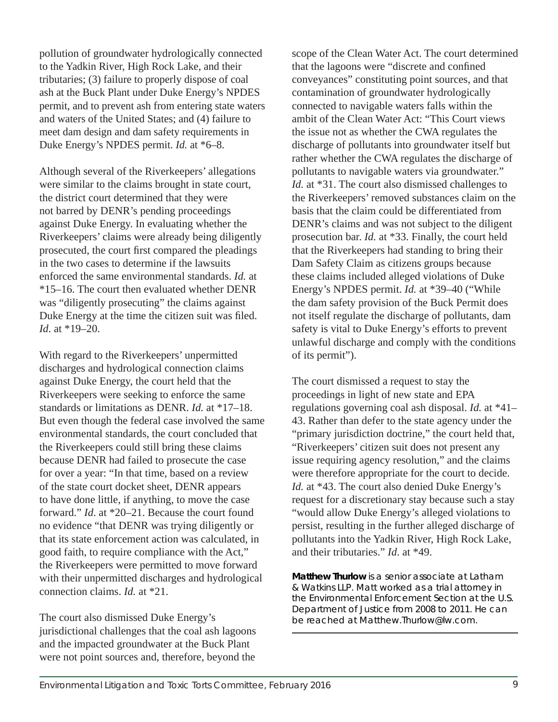pollution of groundwater hydrologically connected to the Yadkin River, High Rock Lake, and their tributaries; (3) failure to properly dispose of coal ash at the Buck Plant under Duke Energy's NPDES permit, and to prevent ash from entering state waters and waters of the United States; and (4) failure to meet dam design and dam safety requirements in Duke Energy's NPDES permit. *Id.* at \*6–8.

Although several of the Riverkeepers' allegations were similar to the claims brought in state court, the district court determined that they were not barred by DENR's pending proceedings against Duke Energy. In evaluating whether the Riverkeepers' claims were already being diligently prosecuted, the court first compared the pleadings in the two cases to determine if the lawsuits enforced the same environmental standards. *Id.* at \*15–16. The court then evaluated whether DENR was "diligently prosecuting" the claims against Duke Energy at the time the citizen suit was filed. *Id*. at \*19–20.

With regard to the Riverkeepers' unpermitted discharges and hydrological connection claims against Duke Energy, the court held that the Riverkeepers were seeking to enforce the same standards or limitations as DENR. *Id.* at \*17–18. But even though the federal case involved the same environmental standards, the court concluded that the Riverkeepers could still bring these claims because DENR had failed to prosecute the case for over a year: "In that time, based on a review of the state court docket sheet, DENR appears to have done little, if anything, to move the case forward." *Id*. at \*20–21. Because the court found no evidence "that DENR was trying diligently or that its state enforcement action was calculated, in good faith, to require compliance with the Act," the Riverkeepers were permitted to move forward with their unpermitted discharges and hydrological connection claims. *Id.* at \*21.

The court also dismissed Duke Energy's jurisdictional challenges that the coal ash lagoons and the impacted groundwater at the Buck Plant were not point sources and, therefore, beyond the

scope of the Clean Water Act. The court determined that the lagoons were "discrete and confined conveyances" constituting point sources, and that contamination of groundwater hydrologically connected to navigable waters falls within the ambit of the Clean Water Act: "This Court views the issue not as whether the CWA regulates the discharge of pollutants into groundwater itself but rather whether the CWA regulates the discharge of pollutants to navigable waters via groundwater." *Id.* at \*31. The court also dismissed challenges to the Riverkeepers' removed substances claim on the basis that the claim could be differentiated from DENR's claims and was not subject to the diligent prosecution bar. *Id.* at \*33. Finally, the court held that the Riverkeepers had standing to bring their Dam Safety Claim as citizens groups because these claims included alleged violations of Duke Energy's NPDES permit. *Id.* at \*39–40 ("While the dam safety provision of the Buck Permit does not itself regulate the discharge of pollutants, dam safety is vital to Duke Energy's efforts to prevent unlawful discharge and comply with the conditions of its permit").

The court dismissed a request to stay the proceedings in light of new state and EPA regulations governing coal ash disposal. *Id.* at \*41– 43. Rather than defer to the state agency under the "primary jurisdiction doctrine," the court held that, "Riverkeepers' citizen suit does not present any issue requiring agency resolution," and the claims were therefore appropriate for the court to decide. *Id.* at \*43. The court also denied Duke Energy's request for a discretionary stay because such a stay "would allow Duke Energy's alleged violations to persist, resulting in the further alleged discharge of pollutants into the Yadkin River, High Rock Lake, and their tributaries." *Id*. at \*49.

**Matthew Thurlow** *is a senior associate at Latham & Watkins LLP. Matt worked as a trial attorney in the Environmental Enforcement Section at the U.S. Department of Justice from 2008 to 2011. He can be reached at Matthew.Thurlow@lw.com.*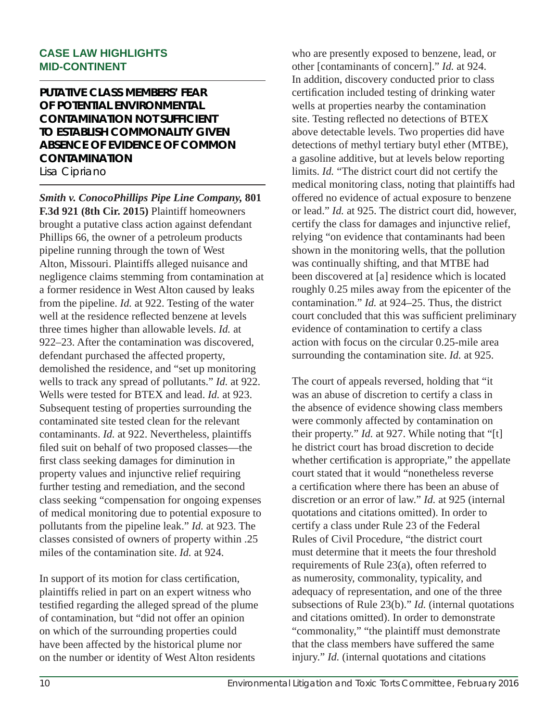#### **CASE LAW HIGHLIGHTS MID-CONTINENT**

#### **PUTATIVE CLASS MEMBERS' FEAR OF POTENTIAL ENVIRONMENTAL CONTAMINATION NOT SUFFICIENT TO ESTABLISH COMMONALITY GIVEN ABSENCE OF EVIDENCE OF COMMON CONTAMINATION**

Lisa Cipriano

*Smith v. ConocoPhillips Pipe Line Company,* **801 F.3d 921 (8th Cir. 2015)** Plaintiff homeowners brought a putative class action against defendant Phillips 66, the owner of a petroleum products pipeline running through the town of West Alton, Missouri. Plaintiffs alleged nuisance and negligence claims stemming from contamination at a former residence in West Alton caused by leaks from the pipeline. *Id.* at 922. Testing of the water well at the residence reflected benzene at levels three times higher than allowable levels. *Id.* at 922–23. After the contamination was discovered, defendant purchased the affected property, demolished the residence, and "set up monitoring wells to track any spread of pollutants." *Id.* at 922. Wells were tested for BTEX and lead. *Id.* at 923. Subsequent testing of properties surrounding the contaminated site tested clean for the relevant contaminants. *Id.* at 922. Nevertheless, plaintiffs filed suit on behalf of two proposed classes—the first class seeking damages for diminution in property values and injunctive relief requiring further testing and remediation, and the second class seeking "compensation for ongoing expenses of medical monitoring due to potential exposure to pollutants from the pipeline leak." *Id.* at 923. The classes consisted of owners of property within .25 miles of the contamination site. *Id.* at 924.

In support of its motion for class certification, plaintiffs relied in part on an expert witness who testified regarding the alleged spread of the plume of contamination, but "did not offer an opinion on which of the surrounding properties could have been affected by the historical plume nor on the number or identity of West Alton residents

who are presently exposed to benzene, lead, or other [contaminants of concern]." *Id.* at 924. In addition, discovery conducted prior to class certification included testing of drinking water wells at properties nearby the contamination site. Testing reflected no detections of BTEX above detectable levels. Two properties did have detections of methyl tertiary butyl ether (MTBE), a gasoline additive, but at levels below reporting limits. *Id.* "The district court did not certify the medical monitoring class, noting that plaintiffs had offered no evidence of actual exposure to benzene or lead." *Id.* at 925. The district court did, however, certify the class for damages and injunctive relief, relying "on evidence that contaminants had been shown in the monitoring wells, that the pollution was continually shifting, and that MTBE had been discovered at [a] residence which is located roughly 0.25 miles away from the epicenter of the contamination." *Id.* at 924–25. Thus, the district court concluded that this was sufficient preliminary evidence of contamination to certify a class action with focus on the circular 0.25-mile area surrounding the contamination site. *Id.* at 925.

The court of appeals reversed, holding that "it was an abuse of discretion to certify a class in the absence of evidence showing class members were commonly affected by contamination on their property." *Id.* at 927. While noting that "[t] he district court has broad discretion to decide whether certification is appropriate," the appellate court stated that it would "nonetheless reverse a certification where there has been an abuse of discretion or an error of law." *Id.* at 925 (internal quotations and citations omitted). In order to certify a class under Rule 23 of the Federal Rules of Civil Procedure, "the district court must determine that it meets the four threshold requirements of Rule 23(a), often referred to as numerosity, commonality, typicality, and adequacy of representation, and one of the three subsections of Rule 23(b)." *Id.* (internal quotations and citations omitted). In order to demonstrate "commonality," "the plaintiff must demonstrate that the class members have suffered the same injury." *Id.* (internal quotations and citations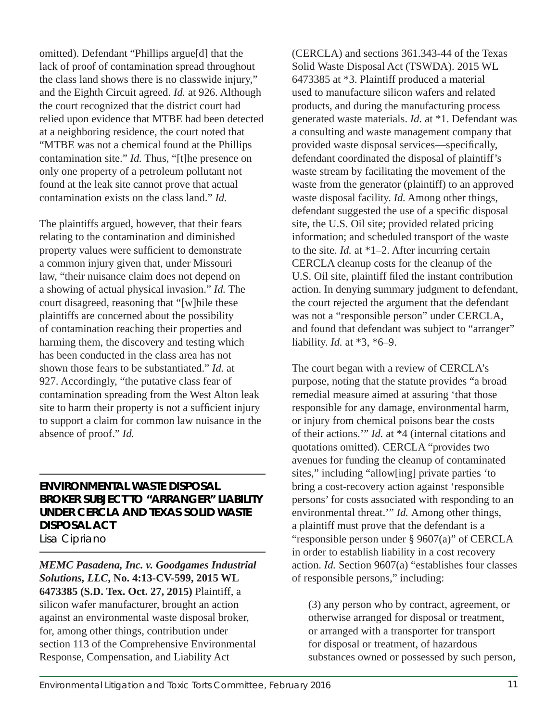omitted). Defendant "Phillips argue[d] that the lack of proof of contamination spread throughout the class land shows there is no classwide injury," and the Eighth Circuit agreed. *Id.* at 926. Although the court recognized that the district court had relied upon evidence that MTBE had been detected at a neighboring residence, the court noted that "MTBE was not a chemical found at the Phillips contamination site." *Id.* Thus, "[t]he presence on only one property of a petroleum pollutant not found at the leak site cannot prove that actual contamination exists on the class land." *Id.*

The plaintiffs argued, however, that their fears relating to the contamination and diminished property values were sufficient to demonstrate a common injury given that, under Missouri law, "their nuisance claim does not depend on a showing of actual physical invasion." *Id.* The court disagreed, reasoning that "[w]hile these plaintiffs are concerned about the possibility of contamination reaching their properties and harming them, the discovery and testing which has been conducted in the class area has not shown those fears to be substantiated." *Id.* at 927. Accordingly, "the putative class fear of contamination spreading from the West Alton leak site to harm their property is not a sufficient injury to support a claim for common law nuisance in the absence of proof." *Id.*

#### **ENVIRONMENTAL WASTE DISPOSAL BROKER SUBJECT TO "ARRANGER" LIABILITY UNDER CERCLA AND TEXAS SOLID WASTE DISPOSAL ACT** Lisa Cipriano

*MEMC Pasadena, Inc. v. Goodgames Industrial Solutions, LLC***, No. 4:13-CV-599, 2015 WL 6473385 (S.D. Tex. Oct. 27, 2015)** Plaintiff, a silicon wafer manufacturer, brought an action against an environmental waste disposal broker, for, among other things, contribution under section 113 of the Comprehensive Environmental Response, Compensation, and Liability Act

(CERCLA) and sections 361.343-44 of the Texas Solid Waste Disposal Act (TSWDA). 2015 WL 6473385 at \*3. Plaintiff produced a material used to manufacture silicon wafers and related products, and during the manufacturing process generated waste materials. *Id.* at \*1. Defendant was a consulting and waste management company that provided waste disposal services—specifically, defendant coordinated the disposal of plaintiff's waste stream by facilitating the movement of the waste from the generator (plaintiff) to an approved waste disposal facility. *Id.* Among other things, defendant suggested the use of a specific disposal site, the U.S. Oil site; provided related pricing information; and scheduled transport of the waste to the site. *Id.* at \*1–2. After incurring certain CERCLA cleanup costs for the cleanup of the U.S. Oil site, plaintiff filed the instant contribution action. In denying summary judgment to defendant, the court rejected the argument that the defendant was not a "responsible person" under CERCLA, and found that defendant was subject to "arranger" liability. *Id.* at \*3, \*6–9.

The court began with a review of CERCLA's purpose, noting that the statute provides "a broad remedial measure aimed at assuring 'that those responsible for any damage, environmental harm, or injury from chemical poisons bear the costs of their actions.'" *Id.* at \*4 (internal citations and quotations omitted). CERCLA "provides two avenues for funding the cleanup of contaminated sites," including "allow[ing] private parties 'to bring a cost-recovery action against 'responsible persons' for costs associated with responding to an environmental threat.'" *Id.* Among other things, a plaintiff must prove that the defendant is a "responsible person under § 9607(a)" of CERCLA in order to establish liability in a cost recovery action. *Id.* Section 9607(a) "establishes four classes of responsible persons," including:

(3) any person who by contract, agreement, or otherwise arranged for disposal or treatment, or arranged with a transporter for transport for disposal or treatment, of hazardous substances owned or possessed by such person,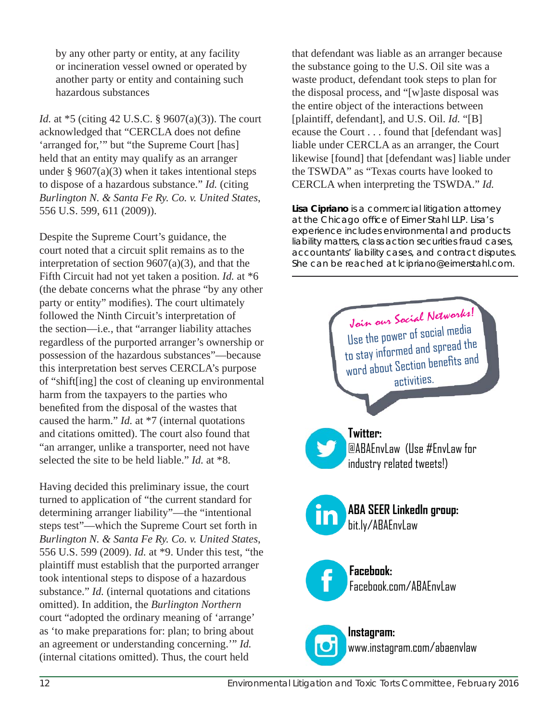by any other party or entity, at any facility or incineration vessel owned or operated by another party or entity and containing such hazardous substances

*Id.* at \*5 (citing 42 U.S.C. § 9607(a)(3)). The court acknowledged that "CERCLA does not define 'arranged for,'" but "the Supreme Court [has] held that an entity may qualify as an arranger under  $\S 9607(a)(3)$  when it takes intentional steps to dispose of a hazardous substance." *Id.* (citing *Burlington N. & Santa Fe Ry. Co. v. United States*, 556 U.S. 599, 611 (2009)).

Despite the Supreme Court's guidance, the court noted that a circuit split remains as to the interpretation of section 9607(a)(3), and that the Fifth Circuit had not yet taken a position. *Id.* at \*6 (the debate concerns what the phrase "by any other party or entity" modifies). The court ultimately followed the Ninth Circuit's interpretation of the section—i.e*.*, that "arranger liability attaches regardless of the purported arranger's ownership or possession of the hazardous substances"—because this interpretation best serves CERCLA's purpose of "shift[ing] the cost of cleaning up environmental harm from the taxpayers to the parties who benefited from the disposal of the wastes that caused the harm." *Id.* at \*7 (internal quotations and citations omitted). The court also found that "an arranger, unlike a transporter, need not have selected the site to be held liable." *Id.* at \*8.

Having decided this preliminary issue, the court turned to application of "the current standard for determining arranger liability"—the "intentional steps test"—which the Supreme Court set forth in *Burlington N. & Santa Fe Ry. Co. v. United States*, 556 U.S. 599 (2009). *Id.* at \*9. Under this test, "the plaintiff must establish that the purported arranger took intentional steps to dispose of a hazardous substance." *Id.* (internal quotations and citations omitted). In addition, the *Burlington Northern*  court "adopted the ordinary meaning of 'arrange' as 'to make preparations for: plan; to bring about an agreement or understanding concerning.'" *Id.* (internal citations omitted). Thus, the court held

that defendant was liable as an arranger because the substance going to the U.S. Oil site was a waste product, defendant took steps to plan for the disposal process, and "[w]aste disposal was the entire object of the interactions between [plaintiff, defendant], and U.S. Oil. *Id.* "[B] ecause the Court . . . found that [defendant was] liable under CERCLA as an arranger, the Court likewise [found] that [defendant was] liable under the TSWDA" as "Texas courts have looked to CERCLA when interpreting the TSWDA." *Id.*

**Lisa Cipriano** *is a commercial litigation attorney at the Chicago offi ce of Eimer Stahl LLP. Lisa's experience includes environmental and products liability matters, class action securities fraud cases, accountants' liability cases, and contract disputes. She can be reached at lcipriano@eimerstahl.com.*

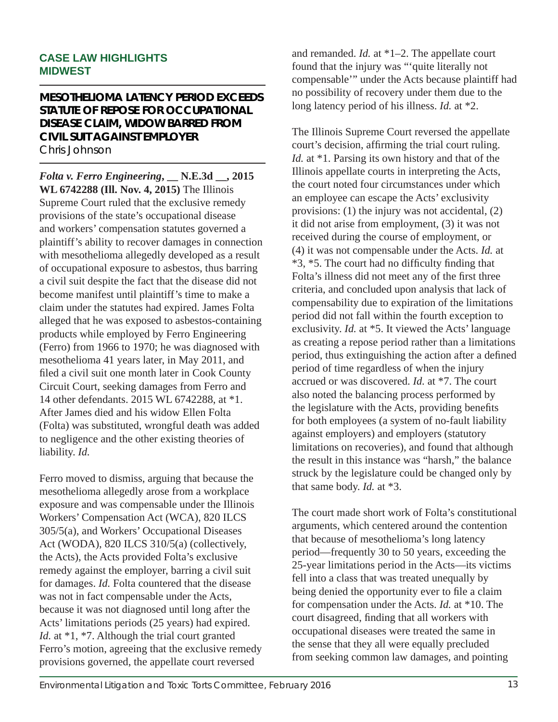#### **CASE LAW HIGHLIGHTS MIDWEST**

#### **MESOTHELIOMA LATENCY PERIOD EXCEEDS STATUTE OF REPOSE FOR OCCUPATIONAL DISEASE CLAIM, WIDOW BARRED FROM CIVIL SUIT AGAINST EMPLOYER** Chris Johnson

*Folta v. Ferro Engineering***, \_\_ N.E.3d \_\_, 2015 WL 6742288 (Ill. Nov. 4, 2015)** The Illinois Supreme Court ruled that the exclusive remedy provisions of the state's occupational disease and workers' compensation statutes governed a plaintiff's ability to recover damages in connection with mesothelioma allegedly developed as a result of occupational exposure to asbestos, thus barring a civil suit despite the fact that the disease did not become manifest until plaintiff's time to make a claim under the statutes had expired. James Folta alleged that he was exposed to asbestos-containing products while employed by Ferro Engineering (Ferro) from 1966 to 1970; he was diagnosed with mesothelioma 41 years later, in May 2011, and filed a civil suit one month later in Cook County Circuit Court, seeking damages from Ferro and 14 other defendants. 2015 WL 6742288, at \*1. After James died and his widow Ellen Folta (Folta) was substituted, wrongful death was added to negligence and the other existing theories of liability. *Id.*

Ferro moved to dismiss, arguing that because the mesothelioma allegedly arose from a workplace exposure and was compensable under the Illinois Workers' Compensation Act (WCA), 820 ILCS 305/5(a), and Workers' Occupational Diseases Act (WODA), 820 ILCS 310/5(a) (collectively, the Acts), the Acts provided Folta's exclusive remedy against the employer, barring a civil suit for damages. *Id.* Folta countered that the disease was not in fact compensable under the Acts, because it was not diagnosed until long after the Acts' limitations periods (25 years) had expired. *Id.* at \*1, \*7. Although the trial court granted Ferro's motion, agreeing that the exclusive remedy provisions governed, the appellate court reversed

and remanded. *Id.* at \*1–2. The appellate court found that the injury was "'quite literally not compensable'" under the Acts because plaintiff had no possibility of recovery under them due to the long latency period of his illness. *Id.* at \*2.

The Illinois Supreme Court reversed the appellate court's decision, affirming the trial court ruling. *Id.* at \*1. Parsing its own history and that of the Illinois appellate courts in interpreting the Acts, the court noted four circumstances under which an employee can escape the Acts' exclusivity provisions: (1) the injury was not accidental, (2) it did not arise from employment, (3) it was not received during the course of employment, or (4) it was not compensable under the Acts. *Id.* at  $*3, *5$ . The court had no difficulty finding that Folta's illness did not meet any of the first three criteria, and concluded upon analysis that lack of compensability due to expiration of the limitations period did not fall within the fourth exception to exclusivity. *Id.* at \*5. It viewed the Acts' language as creating a repose period rather than a limitations period, thus extinguishing the action after a defined period of time regardless of when the injury accrued or was discovered. *Id.* at \*7. The court also noted the balancing process performed by the legislature with the Acts, providing benefits for both employees (a system of no-fault liability against employers) and employers (statutory limitations on recoveries), and found that although the result in this instance was "harsh," the balance struck by the legislature could be changed only by that same body. *Id.* at \*3.

The court made short work of Folta's constitutional arguments, which centered around the contention that because of mesothelioma's long latency period—frequently 30 to 50 years, exceeding the 25-year limitations period in the Acts—its victims fell into a class that was treated unequally by being denied the opportunity ever to file a claim for compensation under the Acts. *Id.* at \*10. The court disagreed, finding that all workers with occupational diseases were treated the same in the sense that they all were equally precluded from seeking common law damages, and pointing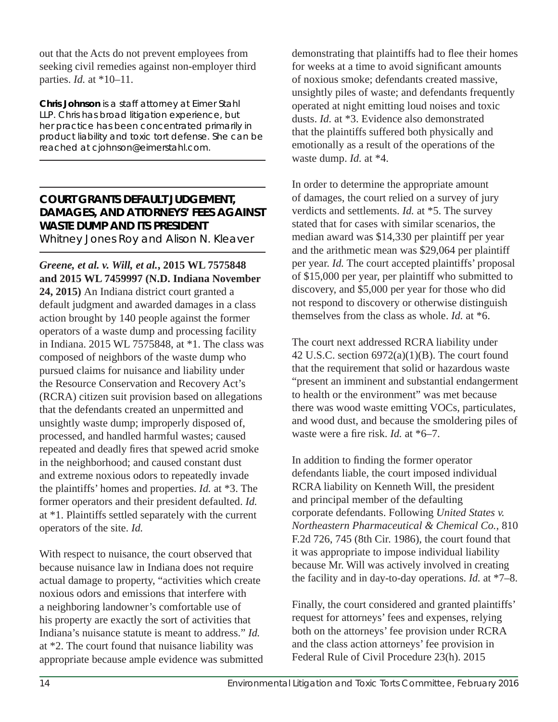out that the Acts do not prevent employees from seeking civil remedies against non-employer third parties. *Id.* at \*10–11.

**Chris Johnson** *is a staff attorney at Eimer Stahl LLP. Chris has broad litigation experience, but her practice has been concentrated primarily in product liability and toxic tort defense. She can be reached at cjohnson@eimerstahl.com.* 

#### **COURT GRANTS DEFAULT JUDGEMENT, DAMAGES, AND ATTORNEYS' FEES AGAINST WASTE DUMP AND ITS PRESIDENT** Whitney Jones Roy and Alison N. Kleaver

*Greene, et al. v. Will, et al.***, 2015 WL 7575848 and 2015 WL 7459997 (N.D. Indiana November 24, 2015)** An Indiana district court granted a default judgment and awarded damages in a class action brought by 140 people against the former operators of a waste dump and processing facility in Indiana. 2015 WL 7575848, at \*1. The class was composed of neighbors of the waste dump who pursued claims for nuisance and liability under the Resource Conservation and Recovery Act's (RCRA) citizen suit provision based on allegations that the defendants created an unpermitted and unsightly waste dump; improperly disposed of, processed, and handled harmful wastes; caused repeated and deadly fires that spewed acrid smoke in the neighborhood; and caused constant dust and extreme noxious odors to repeatedly invade the plaintiffs' homes and properties. *Id.* at \*3. The former operators and their president defaulted. *Id.* at \*1. Plaintiffs settled separately with the current operators of the site. *Id.* 

With respect to nuisance, the court observed that because nuisance law in Indiana does not require actual damage to property, "activities which create noxious odors and emissions that interfere with a neighboring landowner's comfortable use of his property are exactly the sort of activities that Indiana's nuisance statute is meant to address." *Id.* at \*2. The court found that nuisance liability was appropriate because ample evidence was submitted demonstrating that plaintiffs had to flee their homes for weeks at a time to avoid significant amounts of noxious smoke; defendants created massive, unsightly piles of waste; and defendants frequently operated at night emitting loud noises and toxic dusts. *Id.* at \*3. Evidence also demonstrated that the plaintiffs suffered both physically and emotionally as a result of the operations of the waste dump. *Id.* at \*4.

In order to determine the appropriate amount of damages, the court relied on a survey of jury verdicts and settlements. *Id.* at \*5. The survey stated that for cases with similar scenarios, the median award was \$14,330 per plaintiff per year and the arithmetic mean was \$29,064 per plaintiff per year. *Id.* The court accepted plaintiffs' proposal of \$15,000 per year, per plaintiff who submitted to discovery, and \$5,000 per year for those who did not respond to discovery or otherwise distinguish themselves from the class as whole. *Id.* at \*6.

The court next addressed RCRA liability under 42 U.S.C. section  $6972(a)(1)(B)$ . The court found that the requirement that solid or hazardous waste "present an imminent and substantial endangerment to health or the environment" was met because there was wood waste emitting VOCs, particulates, and wood dust, and because the smoldering piles of waste were a fire risk. *Id.* at \*6–7.

In addition to finding the former operator defendants liable, the court imposed individual RCRA liability on Kenneth Will, the president and principal member of the defaulting corporate defendants. Following *United States v. Northeastern Pharmaceutical & Chemical Co.*, 810 F.2d 726, 745 (8th Cir. 1986), the court found that it was appropriate to impose individual liability because Mr. Will was actively involved in creating the facility and in day-to-day operations. *Id.* at \*7–8.

Finally, the court considered and granted plaintiffs' request for attorneys' fees and expenses, relying both on the attorneys' fee provision under RCRA and the class action attorneys' fee provision in Federal Rule of Civil Procedure 23(h). 2015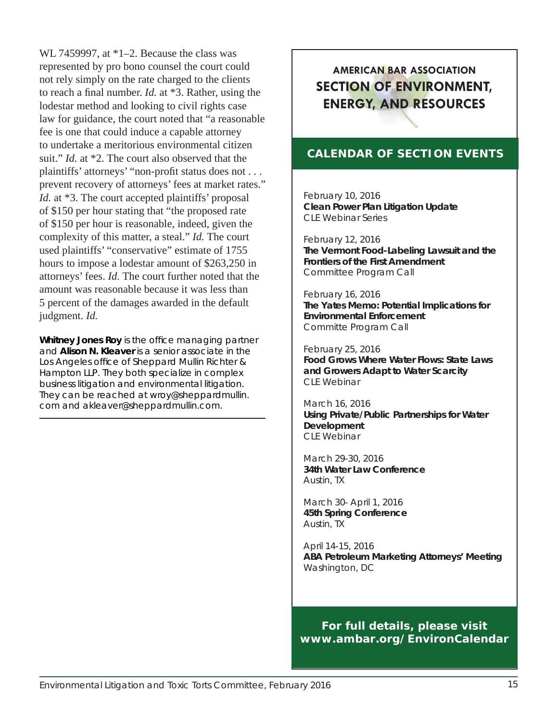WL 7459997, at \*1–2. Because the class was represented by pro bono counsel the court could not rely simply on the rate charged to the clients to reach a final number. *Id.* at \*3. Rather, using the lodestar method and looking to civil rights case law for guidance, the court noted that "a reasonable fee is one that could induce a capable attorney to undertake a meritorious environmental citizen suit." *Id.* at \*2. The court also observed that the plaintiffs' attorneys' "non-profit status does not . . . prevent recovery of attorneys' fees at market rates." *Id.* at \*3. The court accepted plaintiffs' proposal of \$150 per hour stating that "the proposed rate of \$150 per hour is reasonable, indeed, given the complexity of this matter, a steal." *Id.* The court used plaintiffs' "conservative" estimate of 1755 hours to impose a lodestar amount of \$263,250 in attorneys' fees. *Id.* The court further noted that the amount was reasonable because it was less than 5 percent of the damages awarded in the default judgment. *Id.*

**Whitney Jones Roy** *is the office managing partner and* **Alison N. Kleaver** *is a senior associate in the Los Angeles offi ce of Sheppard Mullin Richter & Hampton LLP. They both specialize in complex business litigation and environmental litigation. They can be reached at wroy@sheppardmullin. com and akleaver@sheppardmullin.com.* 

### **AMERICAN BAR ASSOCIATION SECTION OF ENVIRONMENT, ENERGY, AND RESOURCES**

#### **CALENDAR OF SECTION EVENTS**

February 10, 2016 **Clean Power Plan Litigation Update** CLE Webinar Series

February 12, 2016 **The Vermont Food-Labeling Lawsuit and the Frontiers of the First Amendment** Committee Program Call

#### February 16, 2016

**The Yates Memo: Potential Implications for Environmental Enforcement** Committe Program Call

February 25, 2016 **Food Grows Where Water Flows: State Laws and Growers Adapt to Water Scarcity** CLE Webinar

March 16, 2016 **Using Private/Public Partnerships for Water Development** CLE Webinar

March 29-30, 2016 **34th Water Law Conference**  Austin, TX

March 30- April 1, 2016 **45th Spring Conference** Austin, TX

April 14-15, 2016 **ABA Petroleum Marketing Attorneys' Meeting** Washington, DC

**For full details, please visit www.ambar.org/EnvironCalendar**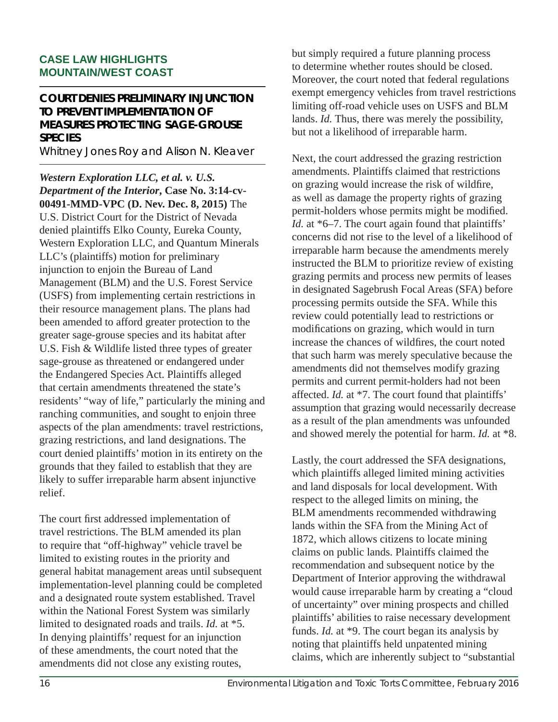#### **CASE LAW HIGHLIGHTS MOUNTAIN/WEST COAST**

#### **COURT DENIES PRELIMINARY INJUNCTION TO PREVENT IMPLEMENTATION OF MEASURES PROTECTING SAGE-GROUSE SPECIES**

Whitney Jones Roy and Alison N. Kleaver

*Western Exploration LLC, et al. v. U.S. Department of the Interior***, Case No. 3:14-cv-00491-MMD-VPC (D. Nev. Dec. 8, 2015)** The U.S. District Court for the District of Nevada denied plaintiffs Elko County, Eureka County, Western Exploration LLC, and Quantum Minerals LLC's (plaintiffs) motion for preliminary injunction to enjoin the Bureau of Land Management (BLM) and the U.S. Forest Service (USFS) from implementing certain restrictions in their resource management plans. The plans had been amended to afford greater protection to the greater sage-grouse species and its habitat after U.S. Fish & Wildlife listed three types of greater sage-grouse as threatened or endangered under the Endangered Species Act. Plaintiffs alleged that certain amendments threatened the state's residents' "way of life," particularly the mining and ranching communities, and sought to enjoin three aspects of the plan amendments: travel restrictions, grazing restrictions, and land designations. The court denied plaintiffs' motion in its entirety on the grounds that they failed to establish that they are likely to suffer irreparable harm absent injunctive relief.

The court first addressed implementation of travel restrictions. The BLM amended its plan to require that "off-highway" vehicle travel be limited to existing routes in the priority and general habitat management areas until subsequent implementation-level planning could be completed and a designated route system established. Travel within the National Forest System was similarly limited to designated roads and trails. *Id.* at \*5. In denying plaintiffs' request for an injunction of these amendments, the court noted that the amendments did not close any existing routes,

but simply required a future planning process to determine whether routes should be closed. Moreover, the court noted that federal regulations exempt emergency vehicles from travel restrictions limiting off-road vehicle uses on USFS and BLM lands. *Id.* Thus, there was merely the possibility, but not a likelihood of irreparable harm.

Next, the court addressed the grazing restriction amendments. Plaintiffs claimed that restrictions on grazing would increase the risk of wildfire, as well as damage the property rights of grazing permit-holders whose permits might be modified. *Id.* at \*6–7. The court again found that plaintiffs' concerns did not rise to the level of a likelihood of irreparable harm because the amendments merely instructed the BLM to prioritize review of existing grazing permits and process new permits of leases in designated Sagebrush Focal Areas (SFA) before processing permits outside the SFA. While this review could potentially lead to restrictions or modifications on grazing, which would in turn increase the chances of wildfires, the court noted that such harm was merely speculative because the amendments did not themselves modify grazing permits and current permit-holders had not been affected. *Id.* at \*7. The court found that plaintiffs' assumption that grazing would necessarily decrease as a result of the plan amendments was unfounded and showed merely the potential for harm. *Id.* at \*8.

Lastly, the court addressed the SFA designations, which plaintiffs alleged limited mining activities and land disposals for local development. With respect to the alleged limits on mining, the BLM amendments recommended withdrawing lands within the SFA from the Mining Act of 1872, which allows citizens to locate mining claims on public lands. Plaintiffs claimed the recommendation and subsequent notice by the Department of Interior approving the withdrawal would cause irreparable harm by creating a "cloud of uncertainty" over mining prospects and chilled plaintiffs' abilities to raise necessary development funds. *Id.* at \*9. The court began its analysis by noting that plaintiffs held unpatented mining claims, which are inherently subject to "substantial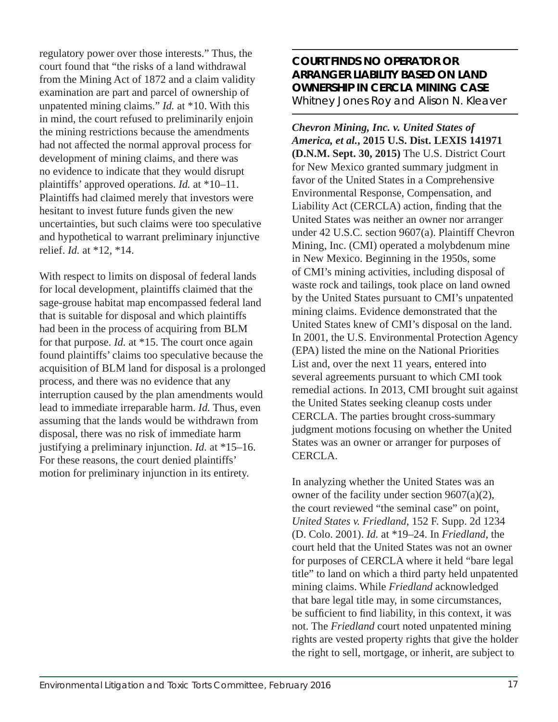regulatory power over those interests." Thus, the court found that "the risks of a land withdrawal from the Mining Act of 1872 and a claim validity examination are part and parcel of ownership of unpatented mining claims." *Id.* at \*10. With this in mind, the court refused to preliminarily enjoin the mining restrictions because the amendments had not affected the normal approval process for development of mining claims, and there was no evidence to indicate that they would disrupt plaintiffs' approved operations. *Id.* at \*10–11. Plaintiffs had claimed merely that investors were hesitant to invest future funds given the new uncertainties, but such claims were too speculative and hypothetical to warrant preliminary injunctive relief. *Id.* at \*12, \*14.

With respect to limits on disposal of federal lands for local development, plaintiffs claimed that the sage-grouse habitat map encompassed federal land that is suitable for disposal and which plaintiffs had been in the process of acquiring from BLM for that purpose. *Id.* at \*15. The court once again found plaintiffs' claims too speculative because the acquisition of BLM land for disposal is a prolonged process, and there was no evidence that any interruption caused by the plan amendments would lead to immediate irreparable harm. *Id.* Thus, even assuming that the lands would be withdrawn from disposal, there was no risk of immediate harm justifying a preliminary injunction. *Id.* at \*15–16. For these reasons, the court denied plaintiffs' motion for preliminary injunction in its entirety.

#### **COURT FINDS NO OPERATOR OR ARRANGER LIABILITY BASED ON LAND OWNERSHIP IN CERCLA MINING CASE** Whitney Jones Roy and Alison N. Kleaver

*Chevron Mining, Inc. v. United States of America, et al.***, 2015 U.S. Dist. LEXIS 141971 (D.N.M. Sept. 30, 2015)** The U.S. District Court for New Mexico granted summary judgment in favor of the United States in a Comprehensive Environmental Response, Compensation, and Liability Act (CERCLA) action, finding that the United States was neither an owner nor arranger under 42 U.S.C. section 9607(a). Plaintiff Chevron Mining, Inc. (CMI) operated a molybdenum mine in New Mexico. Beginning in the 1950s, some of CMI's mining activities, including disposal of waste rock and tailings, took place on land owned by the United States pursuant to CMI's unpatented mining claims. Evidence demonstrated that the United States knew of CMI's disposal on the land. In 2001, the U.S. Environmental Protection Agency (EPA) listed the mine on the National Priorities List and, over the next 11 years, entered into several agreements pursuant to which CMI took remedial actions. In 2013, CMI brought suit against the United States seeking cleanup costs under CERCLA. The parties brought cross-summary judgment motions focusing on whether the United States was an owner or arranger for purposes of CERCLA.

In analyzing whether the United States was an owner of the facility under section 9607(a)(2), the court reviewed "the seminal case" on point, *United States v. Friedland*, 152 F. Supp. 2d 1234 (D. Colo. 2001). *Id.* at \*19–24. In *Friedland*, the court held that the United States was not an owner for purposes of CERCLA where it held "bare legal title" to land on which a third party held unpatented mining claims. While *Friedland* acknowledged that bare legal title may, in some circumstances, be sufficient to find liability, in this context, it was not. The *Friedland* court noted unpatented mining rights are vested property rights that give the holder the right to sell, mortgage, or inherit, are subject to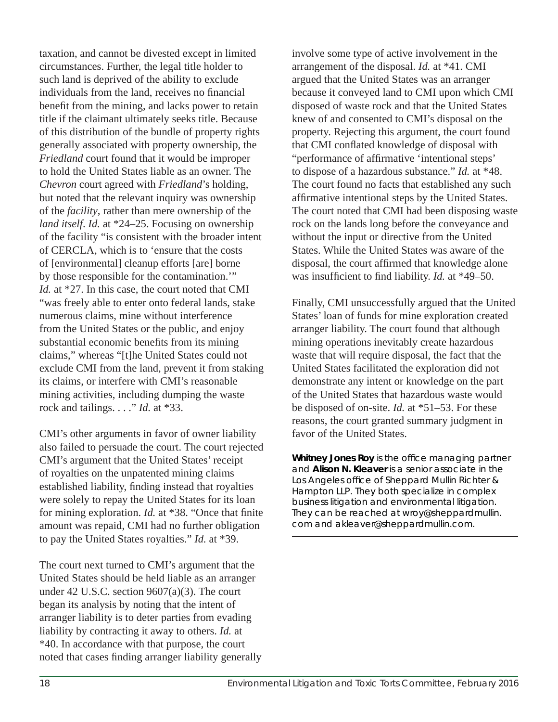taxation, and cannot be divested except in limited circumstances. Further, the legal title holder to such land is deprived of the ability to exclude individuals from the land, receives no financial benefit from the mining, and lacks power to retain title if the claimant ultimately seeks title. Because of this distribution of the bundle of property rights generally associated with property ownership, the *Friedland* court found that it would be improper to hold the United States liable as an owner. The *Chevron* court agreed with *Friedland*'s holding, but noted that the relevant inquiry was ownership of the *facility*, rather than mere ownership of the *land itself*. *Id.* at \*24–25. Focusing on ownership of the facility "is consistent with the broader intent of CERCLA, which is to 'ensure that the costs of [environmental] cleanup efforts [are] borne by those responsible for the contamination.'" *Id.* at \*27. In this case, the court noted that CMI "was freely able to enter onto federal lands, stake numerous claims, mine without interference from the United States or the public, and enjoy substantial economic benefits from its mining claims," whereas "[t]he United States could not exclude CMI from the land, prevent it from staking its claims, or interfere with CMI's reasonable mining activities, including dumping the waste rock and tailings. . . ." *Id.* at \*33.

CMI's other arguments in favor of owner liability also failed to persuade the court. The court rejected CMI's argument that the United States' receipt of royalties on the unpatented mining claims established liability, finding instead that royalties were solely to repay the United States for its loan for mining exploration. *Id.* at \*38. "Once that finite amount was repaid, CMI had no further obligation to pay the United States royalties." *Id.* at \*39.

The court next turned to CMI's argument that the United States should be held liable as an arranger under 42 U.S.C. section 9607(a)(3). The court began its analysis by noting that the intent of arranger liability is to deter parties from evading liability by contracting it away to others. *Id.* at \*40. In accordance with that purpose, the court noted that cases finding arranger liability generally involve some type of active involvement in the arrangement of the disposal. *Id.* at \*41. CMI argued that the United States was an arranger because it conveyed land to CMI upon which CMI disposed of waste rock and that the United States knew of and consented to CMI's disposal on the property. Rejecting this argument, the court found that CMI conflated knowledge of disposal with "performance of affirmative 'intentional steps' to dispose of a hazardous substance." *Id.* at \*48. The court found no facts that established any such affirmative intentional steps by the United States. The court noted that CMI had been disposing waste rock on the lands long before the conveyance and without the input or directive from the United States. While the United States was aware of the disposal, the court affirmed that knowledge alone was insufficient to find liability. *Id.* at \*49–50.

Finally, CMI unsuccessfully argued that the United States' loan of funds for mine exploration created arranger liability. The court found that although mining operations inevitably create hazardous waste that will require disposal, the fact that the United States facilitated the exploration did not demonstrate any intent or knowledge on the part of the United States that hazardous waste would be disposed of on-site. *Id.* at \*51–53. For these reasons, the court granted summary judgment in favor of the United States.

**Whitney Jones Roy** is the office managing partner *and* **Alison N. Kleaver** *is a senior associate in the*  **Los Angeles office of Sheppard Mullin Richter &** *Hampton LLP. They both specialize in complex business litigation and environmental litigation. They can be reached at wroy@sheppardmullin. com and akleaver@sheppardmullin.com.*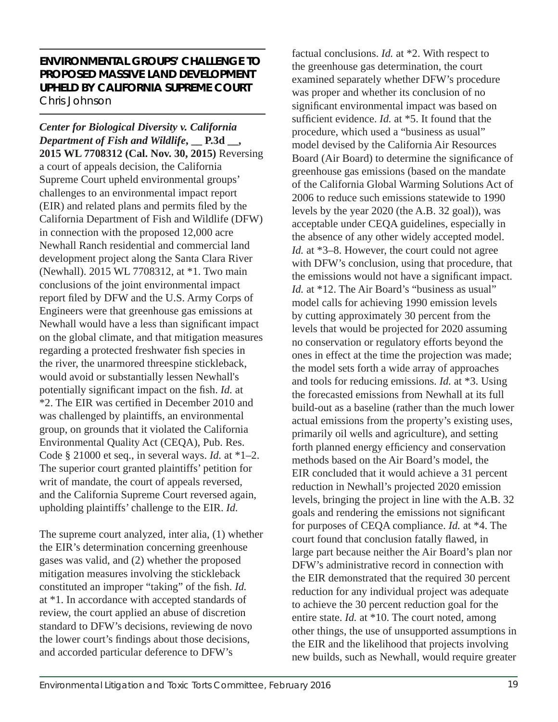#### **ENVIRONMENTAL GROUPS' CHALLENGE TO PROPOSED MASSIVE LAND DEVELOPMENT UPHELD BY CALIFORNIA SUPREME COURT** Chris Johnson

*Center for Biological Diversity v. California Department of Fish and Wildlife***, \_\_ P.3d \_\_, 2015 WL 7708312 (Cal. Nov. 30, 2015)** Reversing a court of appeals decision, the California Supreme Court upheld environmental groups' challenges to an environmental impact report (EIR) and related plans and permits filed by the California Department of Fish and Wildlife (DFW) in connection with the proposed 12,000 acre Newhall Ranch residential and commercial land development project along the Santa Clara River (Newhall). 2015 WL 7708312, at \*1. Two main conclusions of the joint environmental impact report filed by DFW and the U.S. Army Corps of Engineers were that greenhouse gas emissions at Newhall would have a less than significant impact on the global climate, and that mitigation measures regarding a protected freshwater fish species in the river, the unarmored threespine stickleback, would avoid or substantially lessen Newhall's potentially significant impact on the fish. *Id.* at \*2. The EIR was certified in December 2010 and was challenged by plaintiffs, an environmental group, on grounds that it violated the California Environmental Quality Act (CEQA), Pub. Res. Code § 21000 et seq., in several ways. *Id.* at \*1–2. The superior court granted plaintiffs' petition for writ of mandate, the court of appeals reversed, and the California Supreme Court reversed again, upholding plaintiffs' challenge to the EIR. *Id.*

The supreme court analyzed, inter alia, (1) whether the EIR's determination concerning greenhouse gases was valid, and (2) whether the proposed mitigation measures involving the stickleback constituted an improper "taking" of the fish. *Id.* at \*1. In accordance with accepted standards of review, the court applied an abuse of discretion standard to DFW's decisions, reviewing de novo the lower court's findings about those decisions, and accorded particular deference to DFW's

factual conclusions. *Id.* at \*2. With respect to the greenhouse gas determination, the court examined separately whether DFW's procedure was proper and whether its conclusion of no significant environmental impact was based on sufficient evidence. *Id.* at \*5. It found that the procedure, which used a "business as usual" model devised by the California Air Resources Board (Air Board) to determine the significance of greenhouse gas emissions (based on the mandate of the California Global Warming Solutions Act of 2006 to reduce such emissions statewide to 1990 levels by the year 2020 (the A.B. 32 goal)), was acceptable under CEQA guidelines, especially in the absence of any other widely accepted model. *Id.* at \*3–8. However, the court could not agree with DFW's conclusion, using that procedure, that the emissions would not have a significant impact. *Id.* at \*12. The Air Board's "business as usual" model calls for achieving 1990 emission levels by cutting approximately 30 percent from the levels that would be projected for 2020 assuming no conservation or regulatory efforts beyond the ones in effect at the time the projection was made; the model sets forth a wide array of approaches and tools for reducing emissions. *Id.* at \*3. Using the forecasted emissions from Newhall at its full build-out as a baseline (rather than the much lower actual emissions from the property's existing uses, primarily oil wells and agriculture), and setting forth planned energy efficiency and conservation methods based on the Air Board's model, the EIR concluded that it would achieve a 31 percent reduction in Newhall's projected 2020 emission levels, bringing the project in line with the A.B. 32 goals and rendering the emissions not significant for purposes of CEQA compliance. *Id.* at \*4. The court found that conclusion fatally flawed, in large part because neither the Air Board's plan nor DFW's administrative record in connection with the EIR demonstrated that the required 30 percent reduction for any individual project was adequate to achieve the 30 percent reduction goal for the entire state. *Id.* at \*10. The court noted, among other things, the use of unsupported assumptions in the EIR and the likelihood that projects involving new builds, such as Newhall, would require greater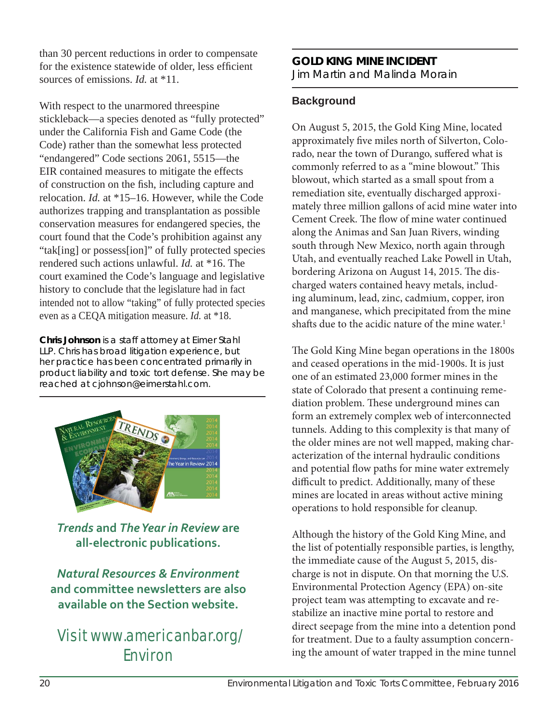than 30 percent reductions in order to compensate for the existence statewide of older, less efficient sources of emissions. *Id.* at \*11.

With respect to the unarmored threespine stickleback—a species denoted as "fully protected" under the California Fish and Game Code (the Code) rather than the somewhat less protected "endangered" Code sections 2061, 5515—the EIR contained measures to mitigate the effects of construction on the fish, including capture and relocation. *Id.* at \*15–16. However, while the Code authorizes trapping and transplantation as possible conservation measures for endangered species, the court found that the Code's prohibition against any "tak[ing] or possess[ion]" of fully protected species rendered such actions unlawful. *Id.* at \*16. The court examined the Code's language and legislative history to conclude that the legislature had in fact intended not to allow "taking" of fully protected species even as a CEQA mitigation measure. *Id.* at \*18.

**Chris Johnson** *is a staff attorney at Eimer Stahl LLP. Chris has broad litigation experience, but her practice has been concentrated primarily in product liability and toxic tort defense. She may be reached at cjohnson@eimerstahl.com.* 



*Trends* **and** *The Year in Review* **are all-electronic publications.** 

*Natural Resources & Environment* **and committee newsletters are also available on the Section website.** 

### Visit www.americanbar.org/ Environ

#### **GOLD KING MINE INCIDENT** Jim Martin and Malinda Morain

#### **Background**

On August 5, 2015, the Gold King Mine, located approximately five miles north of Silverton, Colorado, near the town of Durango, suffered what is commonly referred to as a "mine blowout." This blowout, which started as a small spout from a remediation site, eventually discharged approximately three million gallons of acid mine water into Cement Creek. The flow of mine water continued along the Animas and San Juan Rivers, winding south through New Mexico, north again through Utah, and eventually reached Lake Powell in Utah, bordering Arizona on August 14, 2015. The discharged waters contained heavy metals, including aluminum, lead, zinc, cadmium, copper, iron and manganese, which precipitated from the mine shafts due to the acidic nature of the mine water.<sup>1</sup>

The Gold King Mine began operations in the 1800s and ceased operations in the mid-1900s. It is just one of an estimated 23,000 former mines in the state of Colorado that present a continuing remediation problem. These underground mines can form an extremely complex web of interconnected tunnels. Adding to this complexity is that many of the older mines are not well mapped, making characterization of the internal hydraulic conditions and potential flow paths for mine water extremely difficult to predict. Additionally, many of these mines are located in areas without active mining operations to hold responsible for cleanup.

Although the history of the Gold King Mine, and the list of potentially responsible parties, is lengthy, the immediate cause of the August 5, 2015, discharge is not in dispute. On that morning the U.S. Environmental Protection Agency (EPA) on-site project team was attempting to excavate and restabilize an inactive mine portal to restore and direct seepage from the mine into a detention pond for treatment. Due to a faulty assumption concerning the amount of water trapped in the mine tunnel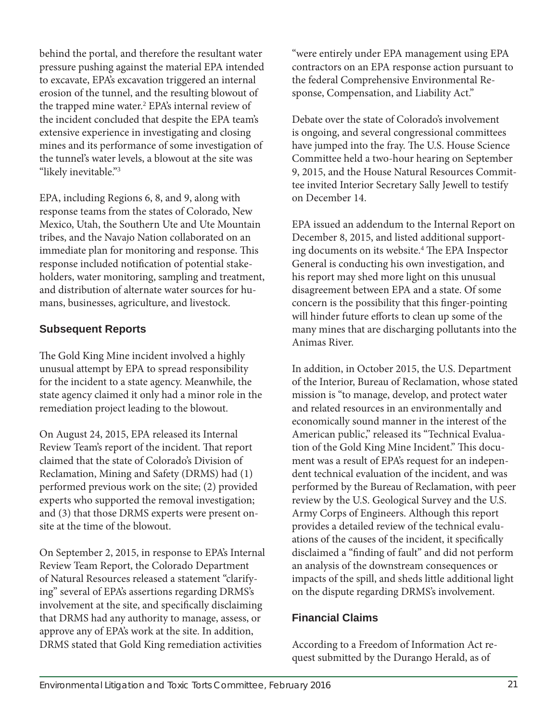behind the portal, and therefore the resultant water pressure pushing against the material EPA intended to excavate, EPA's excavation triggered an internal erosion of the tunnel, and the resulting blowout of the trapped mine water.<sup>2</sup> EPA's internal review of the incident concluded that despite the EPA team's extensive experience in investigating and closing mines and its performance of some investigation of the tunnel's water levels, a blowout at the site was "likely inevitable."3

EPA, including Regions 6, 8, and 9, along with response teams from the states of Colorado, New Mexico, Utah, the Southern Ute and Ute Mountain tribes, and the Navajo Nation collaborated on an immediate plan for monitoring and response. This response included notification of potential stakeholders, water monitoring, sampling and treatment, and distribution of alternate water sources for humans, businesses, agriculture, and livestock.

#### **Subsequent Reports**

The Gold King Mine incident involved a highly unusual attempt by EPA to spread responsibility for the incident to a state agency. Meanwhile, the state agency claimed it only had a minor role in the remediation project leading to the blowout.

On August 24, 2015, EPA released its Internal Review Team's report of the incident. That report claimed that the state of Colorado's Division of Reclamation, Mining and Safety (DRMS) had (1) performed previous work on the site; (2) provided experts who supported the removal investigation; and (3) that those DRMS experts were present onsite at the time of the blowout.

On September 2, 2015, in response to EPA's Internal Review Team Report, the Colorado Department of Natural Resources released a statement "clarifying" several of EPA's assertions regarding DRMS's involvement at the site, and specifically disclaiming that DRMS had any authority to manage, assess, or approve any of EPA's work at the site. In addition, DRMS stated that Gold King remediation activities

"were entirely under EPA management using EPA contractors on an EPA response action pursuant to the federal Comprehensive Environmental Response, Compensation, and Liability Act."

Debate over the state of Colorado's involvement is ongoing, and several congressional committees have jumped into the fray. The U.S. House Science Committee held a two-hour hearing on September 9, 2015, and the House Natural Resources Committee invited Interior Secretary Sally Jewell to testify on December 14.

EPA issued an addendum to the Internal Report on December 8, 2015, and listed additional supporting documents on its website.<sup>4</sup> The EPA Inspector General is conducting his own investigation, and his report may shed more light on this unusual disagreement between EPA and a state. Of some concern is the possibility that this finger-pointing will hinder future efforts to clean up some of the many mines that are discharging pollutants into the Animas River.

In addition, in October 2015, the U.S. Department of the Interior, Bureau of Reclamation, whose stated mission is "to manage, develop, and protect water and related resources in an environmentally and economically sound manner in the interest of the American public," released its "Technical Evaluation of the Gold King Mine Incident." This document was a result of EPA's request for an independent technical evaluation of the incident, and was performed by the Bureau of Reclamation, with peer review by the U.S. Geological Survey and the U.S. Army Corps of Engineers. Although this report provides a detailed review of the technical evaluations of the causes of the incident, it specifically disclaimed a "finding of fault" and did not perform an analysis of the downstream consequences or impacts of the spill, and sheds little additional light on the dispute regarding DRMS's involvement.

#### **Financial Claims**

According to a Freedom of Information Act request submitted by the Durango Herald, as of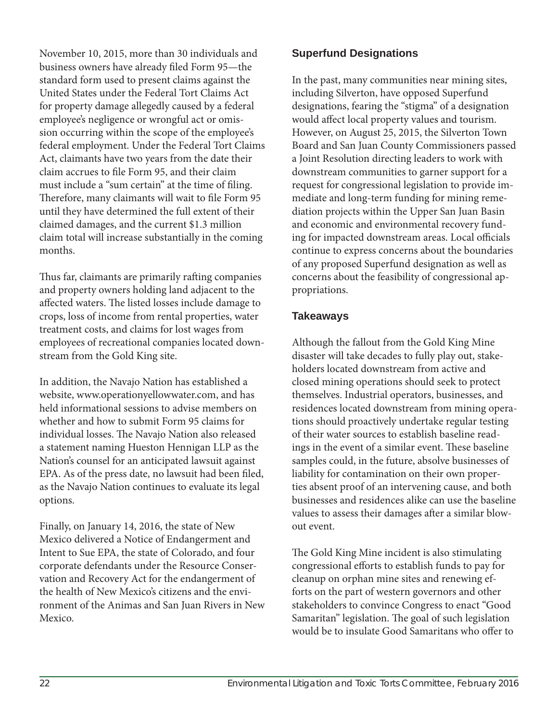November 10, 2015, more than 30 individuals and business owners have already filed Form 95-the standard form used to present claims against the United States under the Federal Tort Claims Act for property damage allegedly caused by a federal employee's negligence or wrongful act or omission occurring within the scope of the employee's federal employment. Under the Federal Tort Claims Act, claimants have two years from the date their claim accrues to file Form 95, and their claim must include a "sum certain" at the time of filing. Therefore, many claimants will wait to file Form 95 until they have determined the full extent of their claimed damages, and the current \$1.3 million claim total will increase substantially in the coming months.

Thus far, claimants are primarily rafting companies and property owners holding land adjacent to the affected waters. The listed losses include damage to crops, loss of income from rental properties, water treatment costs, and claims for lost wages from employees of recreational companies located downstream from the Gold King site.

In addition, the Navajo Nation has established a website, www.operationyellowwater.com, and has held informational sessions to advise members on whether and how to submit Form 95 claims for individual losses. The Navajo Nation also released a statement naming Hueston Hennigan LLP as the Nation's counsel for an anticipated lawsuit against EPA. As of the press date, no lawsuit had been filed, as the Navajo Nation continues to evaluate its legal options.

Finally, on January 14, 2016, the state of New Mexico delivered a Notice of Endangerment and Intent to Sue EPA, the state of Colorado, and four corporate defendants under the Resource Conservation and Recovery Act for the endangerment of the health of New Mexico's citizens and the environment of the Animas and San Juan Rivers in New Mexico.

#### **Superfund Designations**

In the past, many communities near mining sites, including Silverton, have opposed Superfund designations, fearing the "stigma" of a designation would affect local property values and tourism. However, on August 25, 2015, the Silverton Town Board and San Juan County Commissioners passed a Joint Resolution directing leaders to work with downstream communities to garner support for a request for congressional legislation to provide immediate and long-term funding for mining remediation projects within the Upper San Juan Basin and economic and environmental recovery funding for impacted downstream areas. Local officials continue to express concerns about the boundaries of any proposed Superfund designation as well as concerns about the feasibility of congressional appropriations.

#### **Takeaways**

Although the fallout from the Gold King Mine disaster will take decades to fully play out, stakeholders located downstream from active and closed mining operations should seek to protect themselves. Industrial operators, businesses, and residences located downstream from mining operations should proactively undertake regular testing of their water sources to establish baseline readings in the event of a similar event. These baseline samples could, in the future, absolve businesses of liability for contamination on their own properties absent proof of an intervening cause, and both businesses and residences alike can use the baseline values to assess their damages after a similar blowout event.

The Gold King Mine incident is also stimulating congressional efforts to establish funds to pay for cleanup on orphan mine sites and renewing efforts on the part of western governors and other stakeholders to convince Congress to enact "Good Samaritan" legislation. The goal of such legislation would be to insulate Good Samaritans who offer to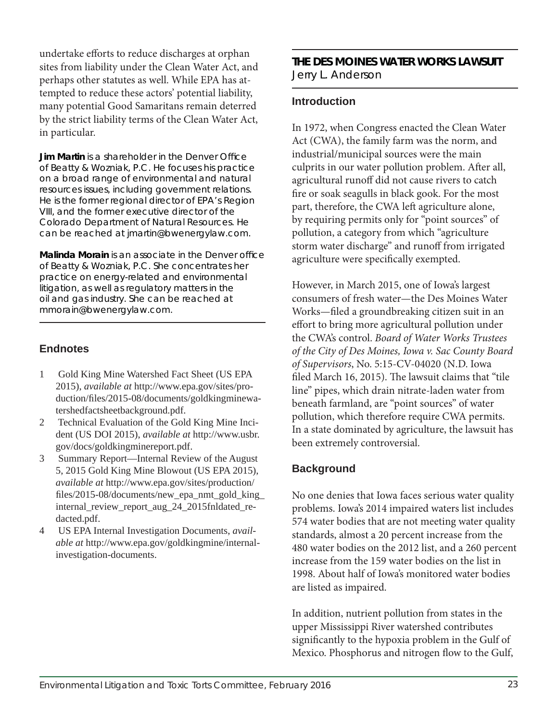undertake efforts to reduce discharges at orphan sites from liability under the Clean Water Act, and perhaps other statutes as well. While EPA has attempted to reduce these actors' potential liability, many potential Good Samaritans remain deterred by the strict liability terms of the Clean Water Act, in particular.

**Jim Martin** *is a shareholder in the Denver Office of Beatty & Wozniak, P.C. He focuses his practice on a broad range of environmental and natural resources issues, including government relations. He is the former regional director of EPA's Region VIII, and the former executive director of the Colorado Department of Natural Resources. He can be reached at jmartin@bwenergylaw.com.* 

**Malinda Morain** *is an associate in the Denver office of Beatty & Wozniak, P.C. She concentrates her practice on energy-related and environmental litigation, as well as regulatory matters in the oil and gas industry. She can be reached at mmorain@bwenergylaw.com.* 

#### **Endnotes**

- 1 Gold King Mine Watershed Fact Sheet (US EPA 2015), *available at* http://www.epa.gov/sites/production/files/2015-08/documents/goldkingminewatershedfactsheetbackground.pdf.
- 2 Technical Evaluation of the Gold King Mine Incident (US DOI 2015), *available at* http://www.usbr. gov/docs/goldkingminereport.pdf.
- 3 Summary Report—Internal Review of the August 5, 2015 Gold King Mine Blowout (US EPA 2015), *available at* http://www.epa.gov/sites/production/ files/2015-08/documents/new\_epa\_nmt\_gold\_king\_ internal\_review\_report\_aug\_24\_2015fnldated\_redacted.pdf.
- 4 US EPA Internal Investigation Documents, *available at* http://www.epa.gov/goldkingmine/internalinvestigation-documents.

#### **THE DES MOINES WATER WORKS LAWSUIT** Jerry L. Anderson

#### **Introduction**

In 1972, when Congress enacted the Clean Water Act (CWA), the family farm was the norm, and industrial/municipal sources were the main culprits in our water pollution problem. After all, agricultural runoff did not cause rivers to catch fire or soak seagulls in black gook. For the most part, therefore, the CWA left agriculture alone, by requiring permits only for "point sources" of pollution, a category from which "agriculture storm water discharge" and runoff from irrigated agriculture were specifically exempted.

However, in March 2015, one of Iowa's largest consumers of fresh water—the Des Moines Water Works—filed a groundbreaking citizen suit in an effort to bring more agricultural pollution under the CWA's control. *Board of Water Works Trustees of the City of Des Moines, Iowa v. Sac County Board of Supervisors*, No. 5:15-CV-04020 (N.D. Iowa filed March 16, 2015). The lawsuit claims that "tile line" pipes, which drain nitrate-laden water from beneath farmland, are "point sources" of water pollution, which therefore require CWA permits. In a state dominated by agriculture, the lawsuit has been extremely controversial.

#### **Background**

No one denies that Iowa faces serious water quality problems. Iowa's 2014 impaired waters list includes 574 water bodies that are not meeting water quality standards, almost a 20 percent increase from the 480 water bodies on the 2012 list, and a 260 percent increase from the 159 water bodies on the list in 1998. About half of Iowa's monitored water bodies are listed as impaired.

In addition, nutrient pollution from states in the upper Mississippi River watershed contributes significantly to the hypoxia problem in the Gulf of Mexico. Phosphorus and nitrogen flow to the Gulf,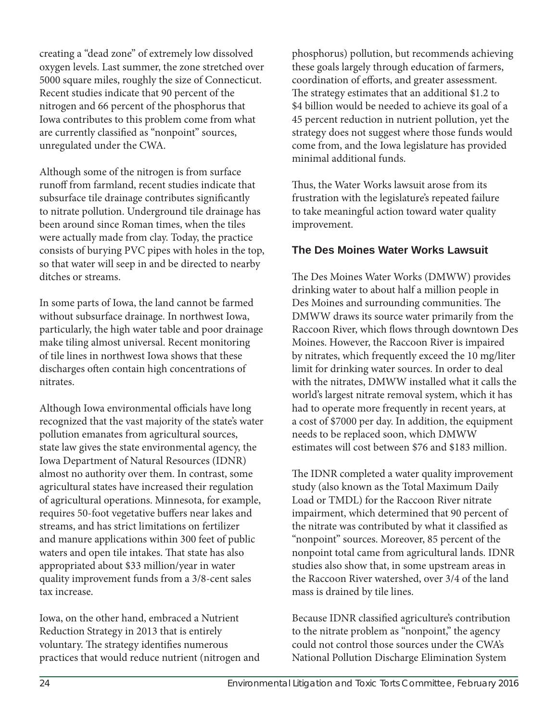creating a "dead zone" of extremely low dissolved oxygen levels. Last summer, the zone stretched over 5000 square miles, roughly the size of Connecticut. Recent studies indicate that 90 percent of the nitrogen and 66 percent of the phosphorus that Iowa contributes to this problem come from what are currently classified as "nonpoint" sources, unregulated under the CWA.

Although some of the nitrogen is from surface runoff from farmland, recent studies indicate that subsurface tile drainage contributes significantly to nitrate pollution. Underground tile drainage has been around since Roman times, when the tiles were actually made from clay. Today, the practice consists of burying PVC pipes with holes in the top, so that water will seep in and be directed to nearby ditches or streams.

In some parts of Iowa, the land cannot be farmed without subsurface drainage. In northwest Iowa, particularly, the high water table and poor drainage make tiling almost universal. Recent monitoring of tile lines in northwest Iowa shows that these discharges often contain high concentrations of nitrates.

Although Iowa environmental officials have long recognized that the vast majority of the state's water pollution emanates from agricultural sources, state law gives the state environmental agency, the Iowa Department of Natural Resources (IDNR) almost no authority over them. In contrast, some agricultural states have increased their regulation of agricultural operations. Minnesota, for example, requires 50-foot vegetative buffers near lakes and streams, and has strict limitations on fertilizer and manure applications within 300 feet of public waters and open tile intakes. That state has also appropriated about \$33 million/year in water quality improvement funds from a 3/8-cent sales tax increase.

Iowa, on the other hand, embraced a Nutrient Reduction Strategy in 2013 that is entirely voluntary. The strategy identifies numerous practices that would reduce nutrient (nitrogen and phosphorus) pollution, but recommends achieving these goals largely through education of farmers, coordination of efforts, and greater assessment. The strategy estimates that an additional \$1.2 to \$4 billion would be needed to achieve its goal of a 45 percent reduction in nutrient pollution, yet the strategy does not suggest where those funds would come from, and the Iowa legislature has provided minimal additional funds.

Thus, the Water Works lawsuit arose from its frustration with the legislature's repeated failure to take meaningful action toward water quality improvement.

#### **The Des Moines Water Works Lawsuit**

The Des Moines Water Works (DMWW) provides drinking water to about half a million people in Des Moines and surrounding communities. The DMWW draws its source water primarily from the Raccoon River, which flows through downtown Des Moines. However, the Raccoon River is impaired by nitrates, which frequently exceed the 10 mg/liter limit for drinking water sources. In order to deal with the nitrates, DMWW installed what it calls the world's largest nitrate removal system, which it has had to operate more frequently in recent years, at a cost of \$7000 per day. In addition, the equipment needs to be replaced soon, which DMWW estimates will cost between \$76 and \$183 million.

The IDNR completed a water quality improvement study (also known as the Total Maximum Daily Load or TMDL) for the Raccoon River nitrate impairment, which determined that 90 percent of the nitrate was contributed by what it classified as "nonpoint" sources. Moreover, 85 percent of the nonpoint total came from agricultural lands. IDNR studies also show that, in some upstream areas in the Raccoon River watershed, over 3/4 of the land mass is drained by tile lines.

Because IDNR classified agriculture's contribution to the nitrate problem as "nonpoint," the agency could not control those sources under the CWA's National Pollution Discharge Elimination System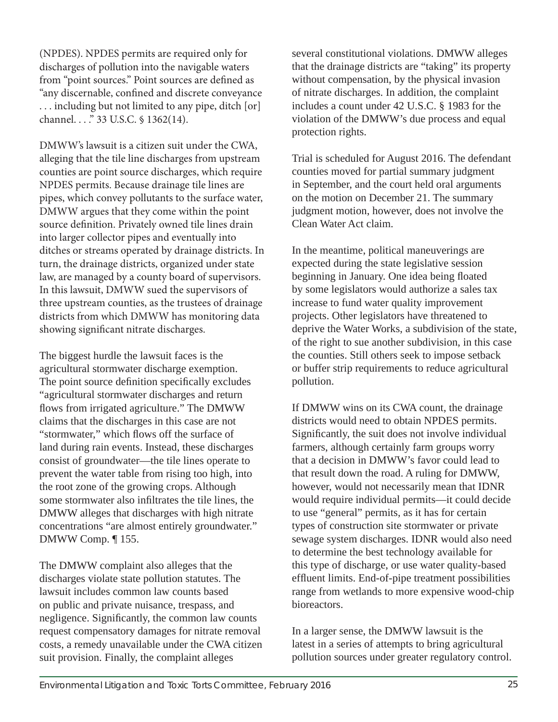(NPDES). NPDES permits are required only for discharges of pollution into the navigable waters from "point sources." Point sources are defined as "any discernable, confined and discrete conveyance . . . including but not limited to any pipe, ditch [or] channel. . . ." 33 U.S.C. § 1362(14).

DMWW's lawsuit is a citizen suit under the CWA, alleging that the tile line discharges from upstream counties are point source discharges, which require NPDES permits. Because drainage tile lines are pipes, which convey pollutants to the surface water, DMWW argues that they come within the point source definition. Privately owned tile lines drain into larger collector pipes and eventually into ditches or streams operated by drainage districts. In turn, the drainage districts, organized under state law, are managed by a county board of supervisors. In this lawsuit, DMWW sued the supervisors of three upstream counties, as the trustees of drainage districts from which DMWW has monitoring data showing significant nitrate discharges.

The biggest hurdle the lawsuit faces is the agricultural stormwater discharge exemption. The point source definition specifically excludes "agricultural stormwater discharges and return flows from irrigated agriculture." The DMWW claims that the discharges in this case are not "stormwater," which flows off the surface of land during rain events. Instead, these discharges consist of groundwater—the tile lines operate to prevent the water table from rising too high, into the root zone of the growing crops. Although some stormwater also infiltrates the tile lines, the DMWW alleges that discharges with high nitrate concentrations "are almost entirely groundwater." DMWW Comp. ¶ 155.

The DMWW complaint also alleges that the discharges violate state pollution statutes. The lawsuit includes common law counts based on public and private nuisance, trespass, and negligence. Significantly, the common law counts request compensatory damages for nitrate removal costs, a remedy unavailable under the CWA citizen suit provision. Finally, the complaint alleges

several constitutional violations. DMWW alleges that the drainage districts are "taking" its property without compensation, by the physical invasion of nitrate discharges. In addition, the complaint includes a count under 42 U.S.C. § 1983 for the violation of the DMWW's due process and equal protection rights.

Trial is scheduled for August 2016. The defendant counties moved for partial summary judgment in September, and the court held oral arguments on the motion on December 21. The summary judgment motion, however, does not involve the Clean Water Act claim.

In the meantime, political maneuverings are expected during the state legislative session beginning in January. One idea being floated by some legislators would authorize a sales tax increase to fund water quality improvement projects. Other legislators have threatened to deprive the Water Works, a subdivision of the state, of the right to sue another subdivision, in this case the counties. Still others seek to impose setback or buffer strip requirements to reduce agricultural pollution.

If DMWW wins on its CWA count, the drainage districts would need to obtain NPDES permits. Significantly, the suit does not involve individual farmers, although certainly farm groups worry that a decision in DMWW's favor could lead to that result down the road. A ruling for DMWW, however, would not necessarily mean that IDNR would require individual permits—it could decide to use "general" permits, as it has for certain types of construction site stormwater or private sewage system discharges. IDNR would also need to determine the best technology available for this type of discharge, or use water quality-based effluent limits. End-of-pipe treatment possibilities range from wetlands to more expensive wood-chip bioreactors.

In a larger sense, the DMWW lawsuit is the latest in a series of attempts to bring agricultural pollution sources under greater regulatory control.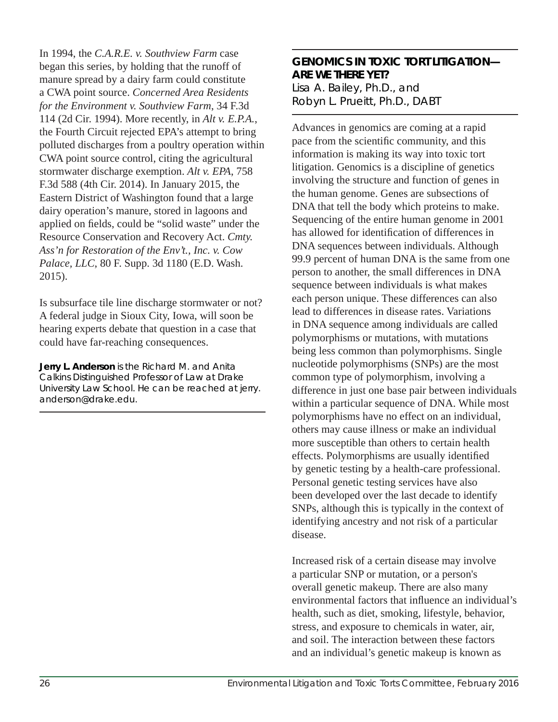In 1994, the *C.A.R.E. v. Southview Farm* case began this series, by holding that the runoff of manure spread by a dairy farm could constitute a CWA point source. *Concerned Area Residents for the Environment v. Southview Farm*, 34 F.3d 114 (2d Cir. 1994). More recently, in *Alt v. E.P.A.*, the Fourth Circuit rejected EPA's attempt to bring polluted discharges from a poultry operation within CWA point source control, citing the agricultural stormwater discharge exemption. *Alt v. EPA*, 758 F.3d 588 (4th Cir. 2014). In January 2015, the Eastern District of Washington found that a large dairy operation's manure, stored in lagoons and applied on fields, could be "solid waste" under the Resource Conservation and Recovery Act. *Cmty. Ass'n for Restoration of the Env't., Inc. v. Cow Palace, LLC*, 80 F. Supp. 3d 1180 (E.D. Wash. 2015).

Is subsurface tile line discharge stormwater or not? A federal judge in Sioux City, Iowa, will soon be hearing experts debate that question in a case that could have far-reaching consequences.

**Jerry L. Anderson** *is the Richard M. and Anita Calkins Distinguished Professor of Law at Drake University Law School. He can be reached at jerry. anderson@drake.edu.*

#### **GENOMICS IN TOXIC TORT LITIGATION— ARE WE THERE YET?** Lisa A. Bailey, Ph.D., and Robyn L. Prueitt, Ph.D., DABT

Advances in genomics are coming at a rapid pace from the scientific community, and this information is making its way into toxic tort litigation. Genomics is a discipline of genetics involving the structure and function of genes in the human genome. Genes are subsections of DNA that tell the body which proteins to make. Sequencing of the entire human genome in 2001 has allowed for identification of differences in DNA sequences between individuals. Although 99.9 percent of human DNA is the same from one person to another, the small differences in DNA sequence between individuals is what makes each person unique. These differences can also lead to differences in disease rates. Variations in DNA sequence among individuals are called polymorphisms or mutations, with mutations being less common than polymorphisms. Single nucleotide polymorphisms (SNPs) are the most common type of polymorphism, involving a difference in just one base pair between individuals within a particular sequence of DNA. While most polymorphisms have no effect on an individual, others may cause illness or make an individual more susceptible than others to certain health effects. Polymorphisms are usually identified by genetic testing by a health-care professional. Personal genetic testing services have also been developed over the last decade to identify SNPs, although this is typically in the context of identifying ancestry and not risk of a particular disease.

Increased risk of a certain disease may involve a particular SNP or mutation, or a person's overall genetic makeup. There are also many environmental factors that influence an individual's health, such as diet, smoking, lifestyle, behavior, stress, and exposure to chemicals in water, air, and soil. The interaction between these factors and an individual's genetic makeup is known as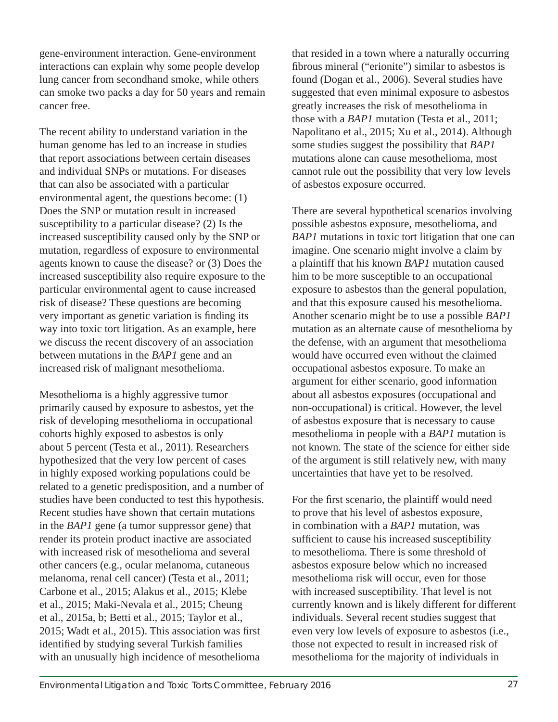gene-environment interaction. Gene-environment interactions can explain why some people develop lung cancer from secondhand smoke, while others can smoke two packs a day for 50 years and remain cancer free.

The recent ability to understand variation in the human genome has led to an increase in studies that report associations between certain diseases and individual SNPs or mutations. For diseases that can also be associated with a particular environmental agent, the questions become: (1) Does the SNP or mutation result in increased susceptibility to a particular disease? (2) Is the increased susceptibility caused only by the SNP or mutation, regardless of exposure to environmental agents known to cause the disease? or (3) Does the increased susceptibility also require exposure to the particular environmental agent to cause increased risk of disease? These questions are becoming very important as genetic variation is finding its way into toxic tort litigation. As an example, here we discuss the recent discovery of an association between mutations in the *BAP1* gene and an increased risk of malignant mesothelioma.

Mesothelioma is a highly aggressive tumor primarily caused by exposure to asbestos, yet the risk of developing mesothelioma in occupational cohorts highly exposed to asbestos is only about 5 percent (Testa et al., 2011). Researchers hypothesized that the very low percent of cases in highly exposed working populations could be related to a genetic predisposition, and a number of studies have been conducted to test this hypothesis. Recent studies have shown that certain mutations in the *BAP1* gene (a tumor suppressor gene) that render its protein product inactive are associated with increased risk of mesothelioma and several other cancers (e.g., ocular melanoma, cutaneous melanoma, renal cell cancer) (Testa et al., 2011; Carbone et al., 2015; Alakus et al., 2015; Klebe et al., 2015; Maki-Nevala et al., 2015; Cheung et al., 2015a, b; Betti et al., 2015; Taylor et al.,  $2015$ ; Wadt et al.,  $2015$ ). This association was first identified by studying several Turkish families with an unusually high incidence of mesothelioma

that resided in a town where a naturally occurring fibrous mineral ("erionite") similar to asbestos is found (Dogan et al., 2006). Several studies have suggested that even minimal exposure to asbestos greatly increases the risk of mesothelioma in those with a *BAP1* mutation (Testa et al., 2011; Napolitano et al., 2015; Xu et al., 2014). Although some studies suggest the possibility that *BAP1* mutations alone can cause mesothelioma, most cannot rule out the possibility that very low levels of asbestos exposure occurred.

There are several hypothetical scenarios involving possible asbestos exposure, mesothelioma, and *BAP1* mutations in toxic tort litigation that one can imagine. One scenario might involve a claim by a plaintiff that his known *BAP1* mutation caused him to be more susceptible to an occupational exposure to asbestos than the general population, and that this exposure caused his mesothelioma. Another scenario might be to use a possible *BAP1* mutation as an alternate cause of mesothelioma by the defense, with an argument that mesothelioma would have occurred even without the claimed occupational asbestos exposure. To make an argument for either scenario, good information about all asbestos exposures (occupational and non-occupational) is critical. However, the level of asbestos exposure that is necessary to cause mesothelioma in people with a *BAP1* mutation is not known. The state of the science for either side of the argument is still relatively new, with many uncertainties that have yet to be resolved.

For the first scenario, the plaintiff would need to prove that his level of asbestos exposure, in combination with a *BAP1* mutation, was sufficient to cause his increased susceptibility to mesothelioma. There is some threshold of asbestos exposure below which no increased mesothelioma risk will occur, even for those with increased susceptibility. That level is not currently known and is likely different for different individuals. Several recent studies suggest that even very low levels of exposure to asbestos (i.e., those not expected to result in increased risk of mesothelioma for the majority of individuals in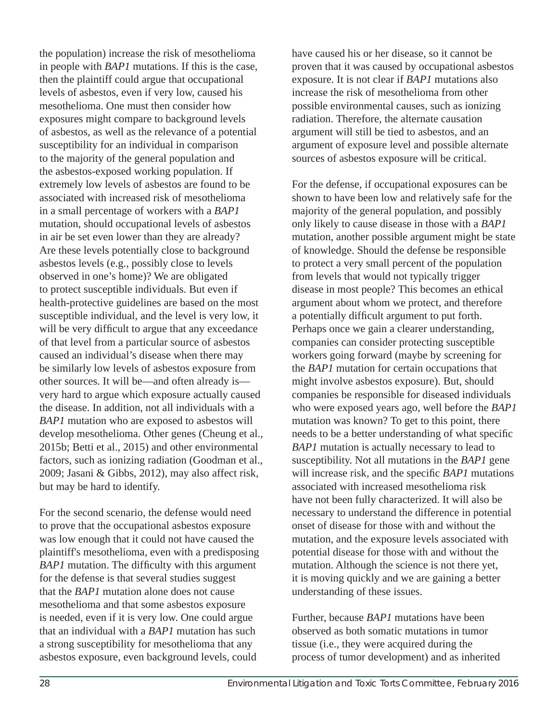the population) increase the risk of mesothelioma in people with *BAP1* mutations. If this is the case, then the plaintiff could argue that occupational levels of asbestos, even if very low, caused his mesothelioma. One must then consider how exposures might compare to background levels of asbestos, as well as the relevance of a potential susceptibility for an individual in comparison to the majority of the general population and the asbestos-exposed working population. If extremely low levels of asbestos are found to be associated with increased risk of mesothelioma in a small percentage of workers with a *BAP1* mutation, should occupational levels of asbestos in air be set even lower than they are already? Are these levels potentially close to background asbestos levels (e.g., possibly close to levels observed in one's home)? We are obligated to protect susceptible individuals. But even if health-protective guidelines are based on the most susceptible individual, and the level is very low, it will be very difficult to argue that any exceedance of that level from a particular source of asbestos caused an individual's disease when there may be similarly low levels of asbestos exposure from other sources. It will be—and often already is very hard to argue which exposure actually caused the disease. In addition, not all individuals with a *BAP1* mutation who are exposed to asbestos will develop mesothelioma. Other genes (Cheung et al., 2015b; Betti et al., 2015) and other environmental factors, such as ionizing radiation (Goodman et al., 2009; Jasani & Gibbs, 2012), may also affect risk, but may be hard to identify.

For the second scenario, the defense would need to prove that the occupational asbestos exposure was low enough that it could not have caused the plaintiff's mesothelioma, even with a predisposing *BAP1* mutation. The difficulty with this argument for the defense is that several studies suggest that the *BAP1* mutation alone does not cause mesothelioma and that some asbestos exposure is needed, even if it is very low. One could argue that an individual with a *BAP1* mutation has such a strong susceptibility for mesothelioma that any asbestos exposure, even background levels, could

have caused his or her disease, so it cannot be proven that it was caused by occupational asbestos exposure. It is not clear if *BAP1* mutations also increase the risk of mesothelioma from other possible environmental causes, such as ionizing radiation. Therefore, the alternate causation argument will still be tied to asbestos, and an argument of exposure level and possible alternate sources of asbestos exposure will be critical.

For the defense, if occupational exposures can be shown to have been low and relatively safe for the majority of the general population, and possibly only likely to cause disease in those with a *BAP1* mutation, another possible argument might be state of knowledge. Should the defense be responsible to protect a very small percent of the population from levels that would not typically trigger disease in most people? This becomes an ethical argument about whom we protect, and therefore a potentially difficult argument to put forth. Perhaps once we gain a clearer understanding, companies can consider protecting susceptible workers going forward (maybe by screening for the *BAP1* mutation for certain occupations that might involve asbestos exposure). But, should companies be responsible for diseased individuals who were exposed years ago, well before the *BAP1* mutation was known? To get to this point, there needs to be a better understanding of what specific *BAP1* mutation is actually necessary to lead to susceptibility. Not all mutations in the *BAP1* gene will increase risk, and the specific *BAP1* mutations associated with increased mesothelioma risk have not been fully characterized. It will also be necessary to understand the difference in potential onset of disease for those with and without the mutation, and the exposure levels associated with potential disease for those with and without the mutation. Although the science is not there yet, it is moving quickly and we are gaining a better understanding of these issues.

Further, because *BAP1* mutations have been observed as both somatic mutations in tumor tissue (i.e., they were acquired during the process of tumor development) and as inherited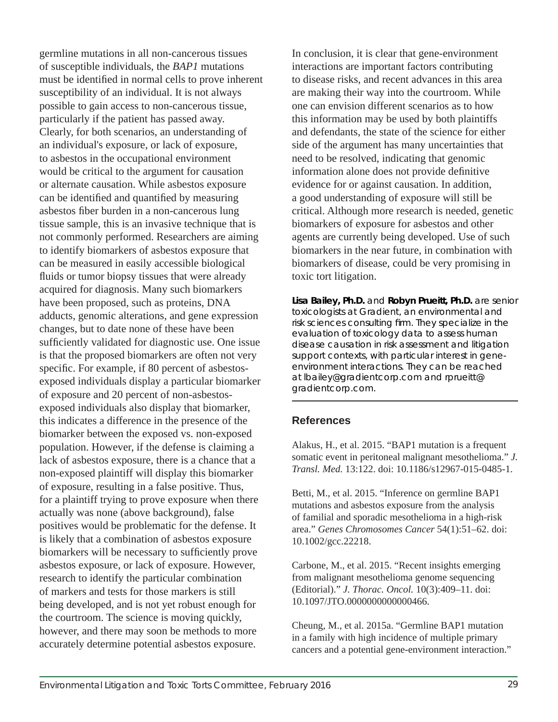germline mutations in all non-cancerous tissues of susceptible individuals, the *BAP1* mutations must be identified in normal cells to prove inherent susceptibility of an individual. It is not always possible to gain access to non-cancerous tissue, particularly if the patient has passed away. Clearly, for both scenarios, an understanding of an individual's exposure, or lack of exposure, to asbestos in the occupational environment would be critical to the argument for causation or alternate causation. While asbestos exposure can be identified and quantified by measuring asbestos fiber burden in a non-cancerous lung tissue sample, this is an invasive technique that is not commonly performed. Researchers are aiming to identify biomarkers of asbestos exposure that can be measured in easily accessible biological fluids or tumor biopsy tissues that were already acquired for diagnosis. Many such biomarkers have been proposed, such as proteins, DNA adducts, genomic alterations, and gene expression changes, but to date none of these have been sufficiently validated for diagnostic use. One issue is that the proposed biomarkers are often not very specific. For example, if 80 percent of asbestosexposed individuals display a particular biomarker of exposure and 20 percent of non-asbestosexposed individuals also display that biomarker, this indicates a difference in the presence of the biomarker between the exposed vs. non-exposed population. However, if the defense is claiming a lack of asbestos exposure, there is a chance that a non-exposed plaintiff will display this biomarker of exposure, resulting in a false positive. Thus, for a plaintiff trying to prove exposure when there actually was none (above background), false positives would be problematic for the defense. It is likely that a combination of asbestos exposure biomarkers will be necessary to sufficiently prove asbestos exposure, or lack of exposure. However, research to identify the particular combination of markers and tests for those markers is still being developed, and is not yet robust enough for the courtroom. The science is moving quickly, however, and there may soon be methods to more accurately determine potential asbestos exposure.

In conclusion, it is clear that gene-environment interactions are important factors contributing to disease risks, and recent advances in this area are making their way into the courtroom. While one can envision different scenarios as to how this information may be used by both plaintiffs and defendants, the state of the science for either side of the argument has many uncertainties that need to be resolved, indicating that genomic information alone does not provide definitive evidence for or against causation. In addition, a good understanding of exposure will still be critical. Although more research is needed, genetic biomarkers of exposure for asbestos and other agents are currently being developed. Use of such biomarkers in the near future, in combination with biomarkers of disease, could be very promising in toxic tort litigation.

**Lisa Bailey, Ph.D.** *and* **Robyn Prueitt, Ph.D.** *are senior toxicologists at Gradient, an environmental and*  risk sciences consulting firm. They specialize in the *evaluation of toxicology data to assess human disease causation in risk assessment and litigation support contexts, with particular interest in geneenvironment interactions. They can be reached at lbailey@gradientcorp.com and rprueitt@ gradientcorp.com.* 

#### **References**

Alakus, H., et al. 2015. "BAP1 mutation is a frequent somatic event in peritoneal malignant mesothelioma." *J. Transl. Med.* 13:122. doi: 10.1186/s12967-015-0485-1.

Betti, M., et al. 2015. "Inference on germline BAP1 mutations and asbestos exposure from the analysis of familial and sporadic mesothelioma in a high-risk area." *Genes Chromosomes Cancer* 54(1):51–62. doi: 10.1002/gcc.22218.

Carbone, M., et al. 2015. "Recent insights emerging from malignant mesothelioma genome sequencing (Editorial)." *J. Thorac. Oncol.* 10(3):409–11. doi: 10.1097/JTO.0000000000000466.

Cheung, M., et al. 2015a. "Germline BAP1 mutation in a family with high incidence of multiple primary cancers and a potential gene-environment interaction."